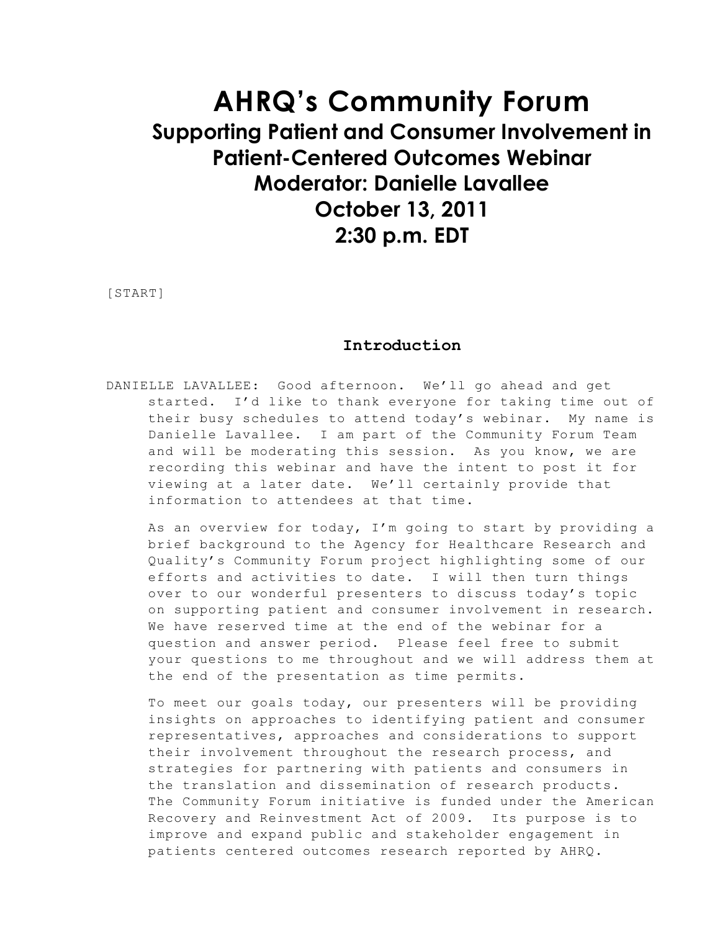# **AHRQ's Community Forum Supporting Patient and Consumer Involvement in Patient-Centered Outcomes Webinar Moderator: Danielle Lavallee October 13, 2011 2:30 p.m. EDT**

[START]

#### **Introduction**

DANIELLE LAVALLEE: Good afternoon. We'll go ahead and get started. I'd like to thank everyone for taking time out of their busy schedules to attend today's webinar. My name is Danielle Lavallee. I am part of the Community Forum Team and will be moderating this session. As you know, we are recording this webinar and have the intent to post it for viewing at a later date. We'll certainly provide that information to attendees at that time.

As an overview for today, I'm going to start by providing a brief background to the Agency for Healthcare Research and Quality's Community Forum project highlighting some of our efforts and activities to date. I will then turn things over to our wonderful presenters to discuss today's topic on supporting patient and consumer involvement in research. We have reserved time at the end of the webinar for a question and answer period. Please feel free to submit your questions to me throughout and we will address them at the end of the presentation as time permits.

To meet our goals today, our presenters will be providing insights on approaches to identifying patient and consumer representatives, approaches and considerations to support their involvement throughout the research process, and strategies for partnering with patients and consumers in the translation and dissemination of research products. The Community Forum initiative is funded under the American Recovery and Reinvestment Act of 2009. Its purpose is to improve and expand public and stakeholder engagement in patients centered outcomes research reported by AHRQ.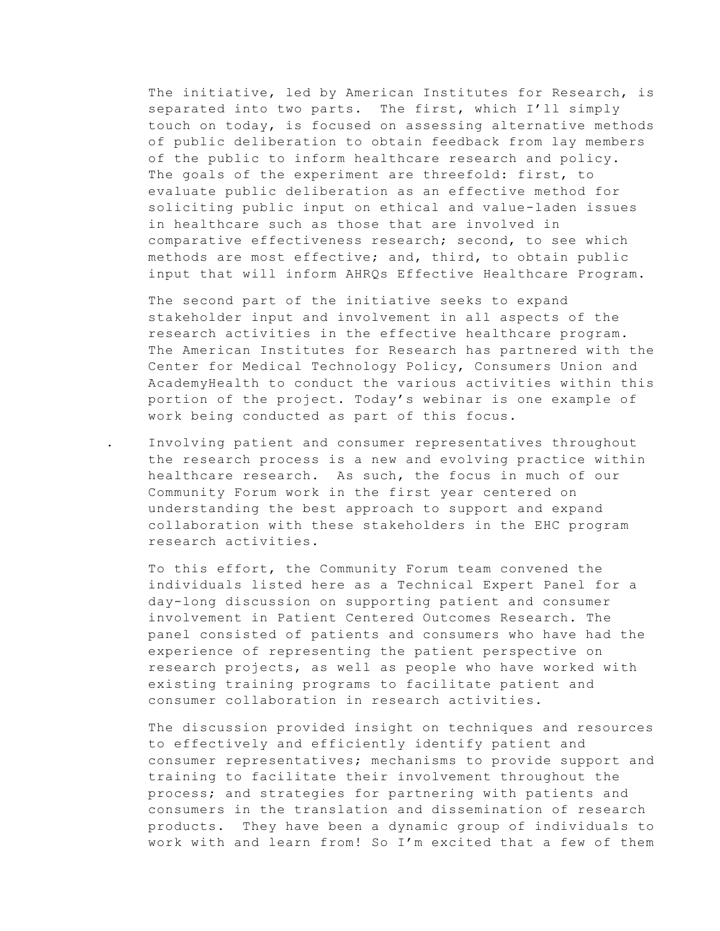The initiative, led by American Institutes for Research, is separated into two parts. The first, which I'll simply touch on today, is focused on assessing alternative methods of public deliberation to obtain feedback from lay members of the public to inform healthcare research and policy. The goals of the experiment are threefold: first, to evaluate public deliberation as an effective method for soliciting public input on ethical and value-laden issues in healthcare such as those that are involved in comparative effectiveness research; second, to see which methods are most effective; and, third, to obtain public input that will inform AHRQs Effective Healthcare Program.

The second part of the initiative seeks to expand stakeholder input and involvement in all aspects of the research activities in the effective healthcare program. The American Institutes for Research has partnered with the Center for Medical Technology Policy, Consumers Union and AcademyHealth to conduct the various activities within this portion of the project. Today's webinar is one example of work being conducted as part of this focus.

. Involving patient and consumer representatives throughout the research process is a new and evolving practice within healthcare research. As such, the focus in much of our Community Forum work in the first year centered on understanding the best approach to support and expand collaboration with these stakeholders in the EHC program research activities.

To this effort, the Community Forum team convened the individuals listed here as a Technical Expert Panel for a day-long discussion on supporting patient and consumer involvement in Patient Centered Outcomes Research. The panel consisted of patients and consumers who have had the experience of representing the patient perspective on research projects, as well as people who have worked with existing training programs to facilitate patient and consumer collaboration in research activities.

The discussion provided insight on techniques and resources to effectively and efficiently identify patient and consumer representatives; mechanisms to provide support and training to facilitate their involvement throughout the process; and strategies for partnering with patients and consumers in the translation and dissemination of research products. They have been a dynamic group of individuals to work with and learn from! So I'm excited that a few of them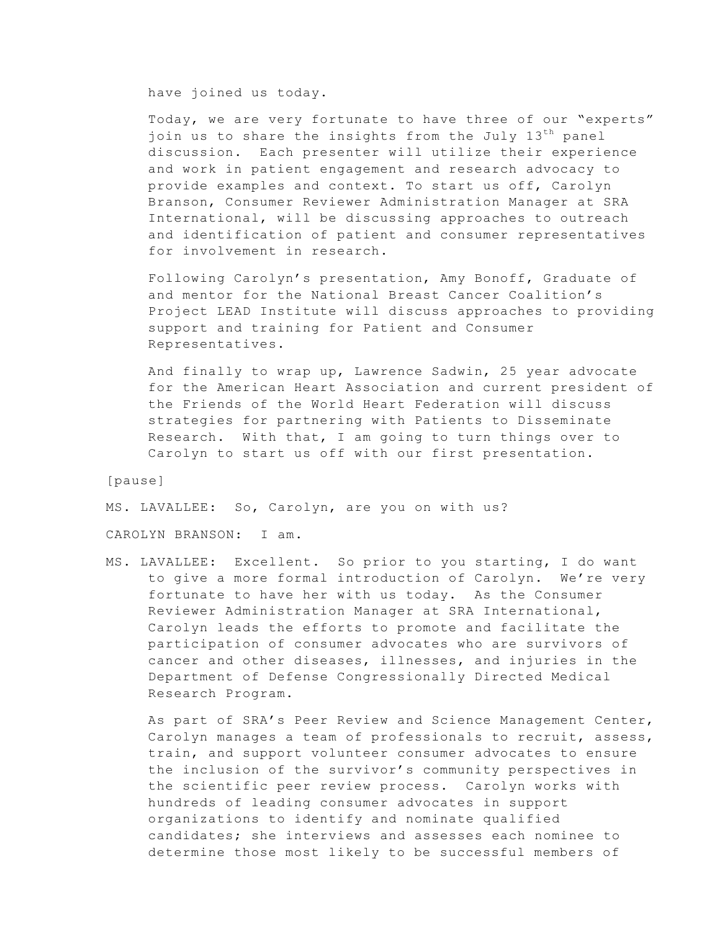have joined us today.

Today, we are very fortunate to have three of our "experts" join us to share the insights from the July 13<sup>th</sup> panel discussion. Each presenter will utilize their experience and work in patient engagement and research advocacy to provide examples and context. To start us off, Carolyn Branson, Consumer Reviewer Administration Manager at SRA International, will be discussing approaches to outreach and identification of patient and consumer representatives for involvement in research.

Following Carolyn's presentation, Amy Bonoff, Graduate of and mentor for the National Breast Cancer Coalition's Project LEAD Institute will discuss approaches to providing support and training for Patient and Consumer Representatives.

And finally to wrap up, Lawrence Sadwin, 25 year advocate for the American Heart Association and current president of the Friends of the World Heart Federation will discuss strategies for partnering with Patients to Disseminate Research. With that, I am going to turn things over to Carolyn to start us off with our first presentation.

[pause]

MS. LAVALLEE: So, Carolyn, are you on with us?

CAROLYN BRANSON: I am.

MS. LAVALLEE: Excellent. So prior to you starting, I do want to give a more formal introduction of Carolyn. We're very fortunate to have her with us today. As the Consumer Reviewer Administration Manager at SRA International, Carolyn leads the efforts to promote and facilitate the participation of consumer advocates who are survivors of cancer and other diseases, illnesses, and injuries in the Department of Defense Congressionally Directed Medical Research Program.

As part of SRA's Peer Review and Science Management Center, Carolyn manages a team of professionals to recruit, assess, train, and support volunteer consumer advocates to ensure the inclusion of the survivor's community perspectives in the scientific peer review process. Carolyn works with hundreds of leading consumer advocates in support organizations to identify and nominate qualified candidates; she interviews and assesses each nominee to determine those most likely to be successful members of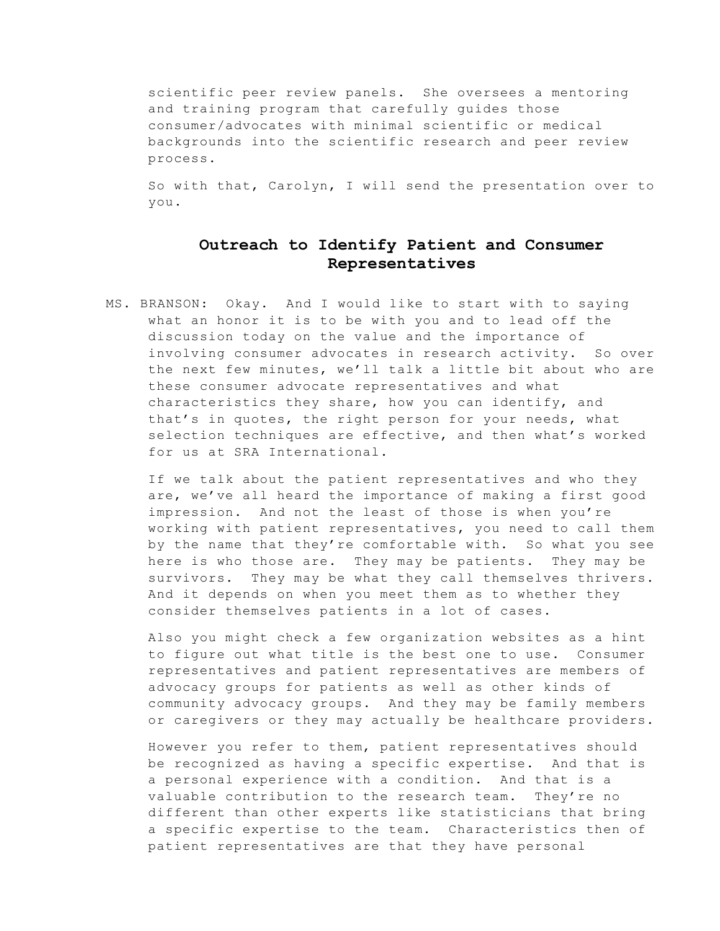scientific peer review panels. She oversees a mentoring and training program that carefully guides those consumer/advocates with minimal scientific or medical backgrounds into the scientific research and peer review process.

So with that, Carolyn, I will send the presentation over to you.

## **Outreach to Identify Patient and Consumer Representatives**

MS. BRANSON: Okay. And I would like to start with to saying what an honor it is to be with you and to lead off the discussion today on the value and the importance of involving consumer advocates in research activity. So over the next few minutes, we'll talk a little bit about who are these consumer advocate representatives and what characteristics they share, how you can identify, and that's in quotes, the right person for your needs, what selection techniques are effective, and then what's worked for us at SRA International.

If we talk about the patient representatives and who they are, we've all heard the importance of making a first good impression. And not the least of those is when you're working with patient representatives, you need to call them by the name that they're comfortable with. So what you see here is who those are. They may be patients. They may be survivors. They may be what they call themselves thrivers. And it depends on when you meet them as to whether they consider themselves patients in a lot of cases.

Also you might check a few organization websites as a hint to figure out what title is the best one to use. Consumer representatives and patient representatives are members of advocacy groups for patients as well as other kinds of community advocacy groups. And they may be family members or caregivers or they may actually be healthcare providers.

However you refer to them, patient representatives should be recognized as having a specific expertise. And that is a personal experience with a condition. And that is a valuable contribution to the research team. They're no different than other experts like statisticians that bring a specific expertise to the team. Characteristics then of patient representatives are that they have personal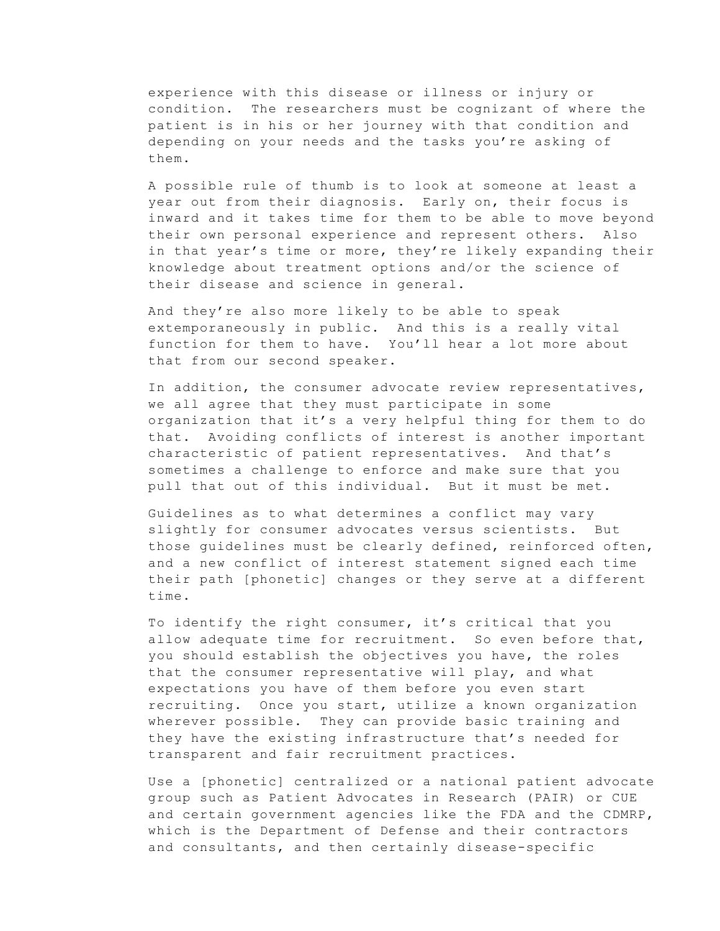experience with this disease or illness or injury or condition. The researchers must be cognizant of where the patient is in his or her journey with that condition and depending on your needs and the tasks you're asking of them.

A possible rule of thumb is to look at someone at least a year out from their diagnosis. Early on, their focus is inward and it takes time for them to be able to move beyond their own personal experience and represent others. Also in that year's time or more, they're likely expanding their knowledge about treatment options and/or the science of their disease and science in general.

And they're also more likely to be able to speak extemporaneously in public. And this is a really vital function for them to have. You'll hear a lot more about that from our second speaker.

In addition, the consumer advocate review representatives, we all agree that they must participate in some organization that it's a very helpful thing for them to do that. Avoiding conflicts of interest is another important characteristic of patient representatives. And that's sometimes a challenge to enforce and make sure that you pull that out of this individual. But it must be met.

Guidelines as to what determines a conflict may vary slightly for consumer advocates versus scientists. But those guidelines must be clearly defined, reinforced often, and a new conflict of interest statement signed each time their path [phonetic] changes or they serve at a different time.

To identify the right consumer, it's critical that you allow adequate time for recruitment. So even before that, you should establish the objectives you have, the roles that the consumer representative will play, and what expectations you have of them before you even start recruiting. Once you start, utilize a known organization wherever possible. They can provide basic training and they have the existing infrastructure that's needed for transparent and fair recruitment practices.

Use a [phonetic] centralized or a national patient advocate group such as Patient Advocates in Research (PAIR) or CUE and certain government agencies like the FDA and the CDMRP, which is the Department of Defense and their contractors and consultants, and then certainly disease-specific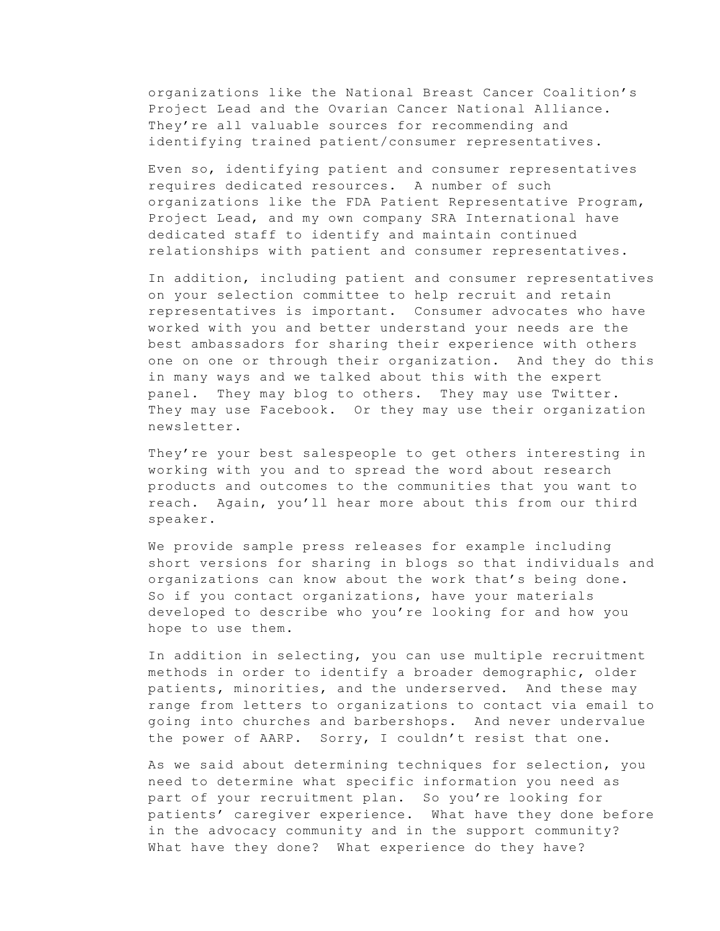organizations like the National Breast Cancer Coalition's Project Lead and the Ovarian Cancer National Alliance. They're all valuable sources for recommending and identifying trained patient/consumer representatives.

Even so, identifying patient and consumer representatives requires dedicated resources. A number of such organizations like the FDA Patient Representative Program, Project Lead, and my own company SRA International have dedicated staff to identify and maintain continued relationships with patient and consumer representatives.

In addition, including patient and consumer representatives on your selection committee to help recruit and retain representatives is important. Consumer advocates who have worked with you and better understand your needs are the best ambassadors for sharing their experience with others one on one or through their organization. And they do this in many ways and we talked about this with the expert panel. They may blog to others. They may use Twitter. They may use Facebook. Or they may use their organization newsletter.

They're your best salespeople to get others interesting in working with you and to spread the word about research products and outcomes to the communities that you want to reach. Again, you'll hear more about this from our third speaker.

We provide sample press releases for example including short versions for sharing in blogs so that individuals and organizations can know about the work that's being done. So if you contact organizations, have your materials developed to describe who you're looking for and how you hope to use them.

In addition in selecting, you can use multiple recruitment methods in order to identify a broader demographic, older patients, minorities, and the underserved. And these may range from letters to organizations to contact via email to going into churches and barbershops. And never undervalue the power of AARP. Sorry, I couldn't resist that one.

As we said about determining techniques for selection, you need to determine what specific information you need as part of your recruitment plan. So you're looking for patients' caregiver experience. What have they done before in the advocacy community and in the support community? What have they done? What experience do they have?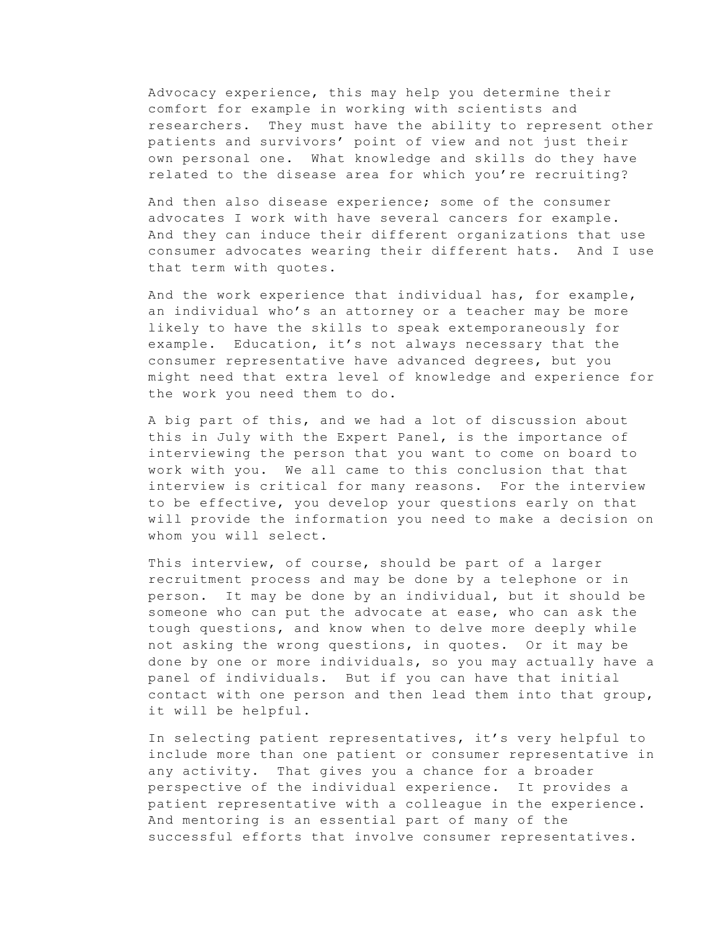Advocacy experience, this may help you determine their comfort for example in working with scientists and researchers. They must have the ability to represent other patients and survivors' point of view and not just their own personal one. What knowledge and skills do they have related to the disease area for which you're recruiting?

And then also disease experience; some of the consumer advocates I work with have several cancers for example. And they can induce their different organizations that use consumer advocates wearing their different hats. And I use that term with quotes.

And the work experience that individual has, for example, an individual who's an attorney or a teacher may be more likely to have the skills to speak extemporaneously for example. Education, it's not always necessary that the consumer representative have advanced degrees, but you might need that extra level of knowledge and experience for the work you need them to do.

A big part of this, and we had a lot of discussion about this in July with the Expert Panel, is the importance of interviewing the person that you want to come on board to work with you. We all came to this conclusion that that interview is critical for many reasons. For the interview to be effective, you develop your questions early on that will provide the information you need to make a decision on whom you will select.

This interview, of course, should be part of a larger recruitment process and may be done by a telephone or in person. It may be done by an individual, but it should be someone who can put the advocate at ease, who can ask the tough questions, and know when to delve more deeply while not asking the wrong questions, in quotes. Or it may be done by one or more individuals, so you may actually have a panel of individuals. But if you can have that initial contact with one person and then lead them into that group, it will be helpful.

In selecting patient representatives, it's very helpful to include more than one patient or consumer representative in any activity. That gives you a chance for a broader perspective of the individual experience. It provides a patient representative with a colleague in the experience. And mentoring is an essential part of many of the successful efforts that involve consumer representatives.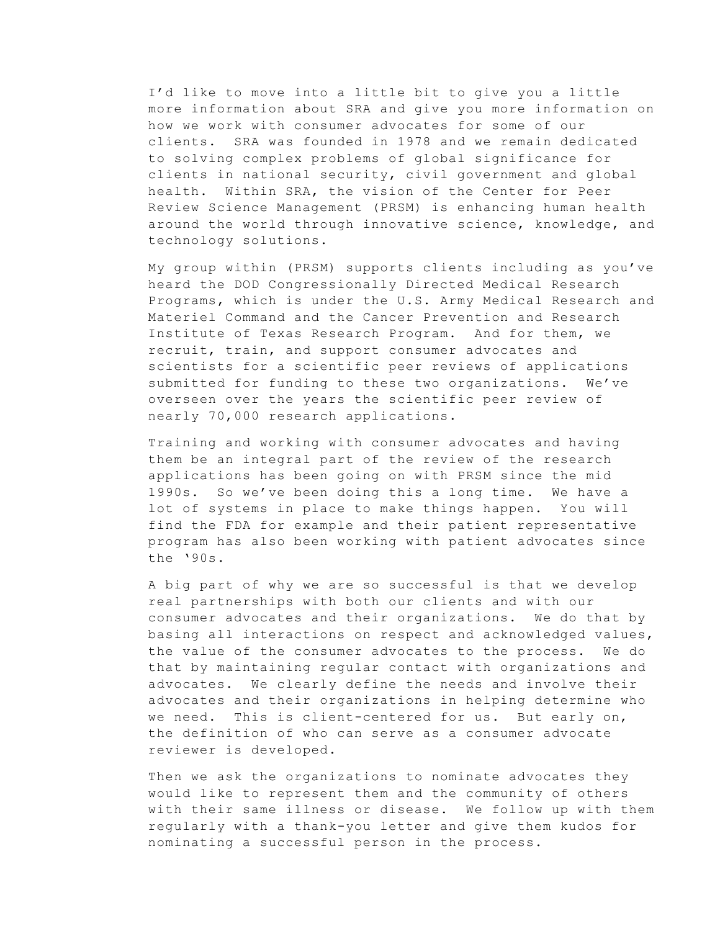I'd like to move into a little bit to give you a little more information about SRA and give you more information on how we work with consumer advocates for some of our clients. SRA was founded in 1978 and we remain dedicated to solving complex problems of global significance for clients in national security, civil government and global health. Within SRA, the vision of the Center for Peer Review Science Management (PRSM) is enhancing human health around the world through innovative science, knowledge, and technology solutions.

My group within (PRSM) supports clients including as you've heard the DOD Congressionally Directed Medical Research Programs, which is under the U.S. Army Medical Research and Materiel Command and the Cancer Prevention and Research Institute of Texas Research Program. And for them, we recruit, train, and support consumer advocates and scientists for a scientific peer reviews of applications submitted for funding to these two organizations. We've overseen over the years the scientific peer review of nearly 70,000 research applications.

Training and working with consumer advocates and having them be an integral part of the review of the research applications has been going on with PRSM since the mid 1990s. So we've been doing this a long time. We have a lot of systems in place to make things happen. You will find the FDA for example and their patient representative program has also been working with patient advocates since the '90s.

A big part of why we are so successful is that we develop real partnerships with both our clients and with our consumer advocates and their organizations. We do that by basing all interactions on respect and acknowledged values, the value of the consumer advocates to the process. We do that by maintaining regular contact with organizations and advocates. We clearly define the needs and involve their advocates and their organizations in helping determine who we need. This is client-centered for us. But early on, the definition of who can serve as a consumer advocate reviewer is developed.

Then we ask the organizations to nominate advocates they would like to represent them and the community of others with their same illness or disease. We follow up with them regularly with a thank-you letter and give them kudos for nominating a successful person in the process.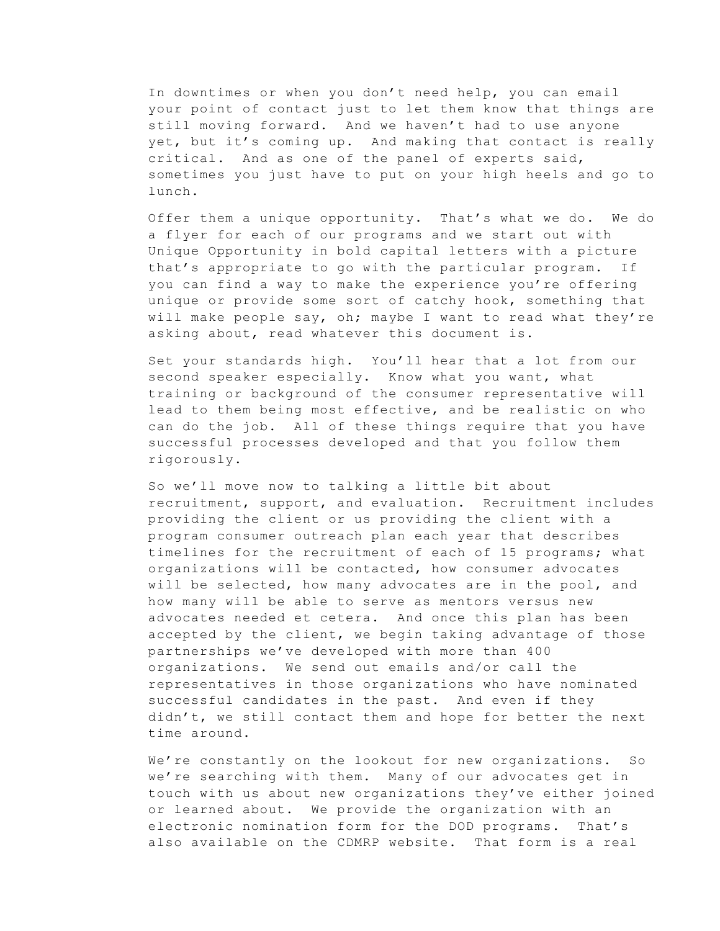In downtimes or when you don't need help, you can email your point of contact just to let them know that things are still moving forward. And we haven't had to use anyone yet, but it's coming up. And making that contact is really critical. And as one of the panel of experts said, sometimes you just have to put on your high heels and go to lunch.

Offer them a unique opportunity. That's what we do. We do a flyer for each of our programs and we start out with Unique Opportunity in bold capital letters with a picture that's appropriate to go with the particular program. If you can find a way to make the experience you're offering unique or provide some sort of catchy hook, something that will make people say, oh; maybe I want to read what they're asking about, read whatever this document is.

Set your standards high. You'll hear that a lot from our second speaker especially. Know what you want, what training or background of the consumer representative will lead to them being most effective, and be realistic on who can do the job. All of these things require that you have successful processes developed and that you follow them rigorously.

So we'll move now to talking a little bit about recruitment, support, and evaluation. Recruitment includes providing the client or us providing the client with a program consumer outreach plan each year that describes timelines for the recruitment of each of 15 programs; what organizations will be contacted, how consumer advocates will be selected, how many advocates are in the pool, and how many will be able to serve as mentors versus new advocates needed et cetera. And once this plan has been accepted by the client, we begin taking advantage of those partnerships we've developed with more than 400 organizations. We send out emails and/or call the representatives in those organizations who have nominated successful candidates in the past. And even if they didn't, we still contact them and hope for better the next time around.

We're constantly on the lookout for new organizations. So we're searching with them. Many of our advocates get in touch with us about new organizations they've either joined or learned about. We provide the organization with an electronic nomination form for the DOD programs. That's also available on the CDMRP website. That form is a real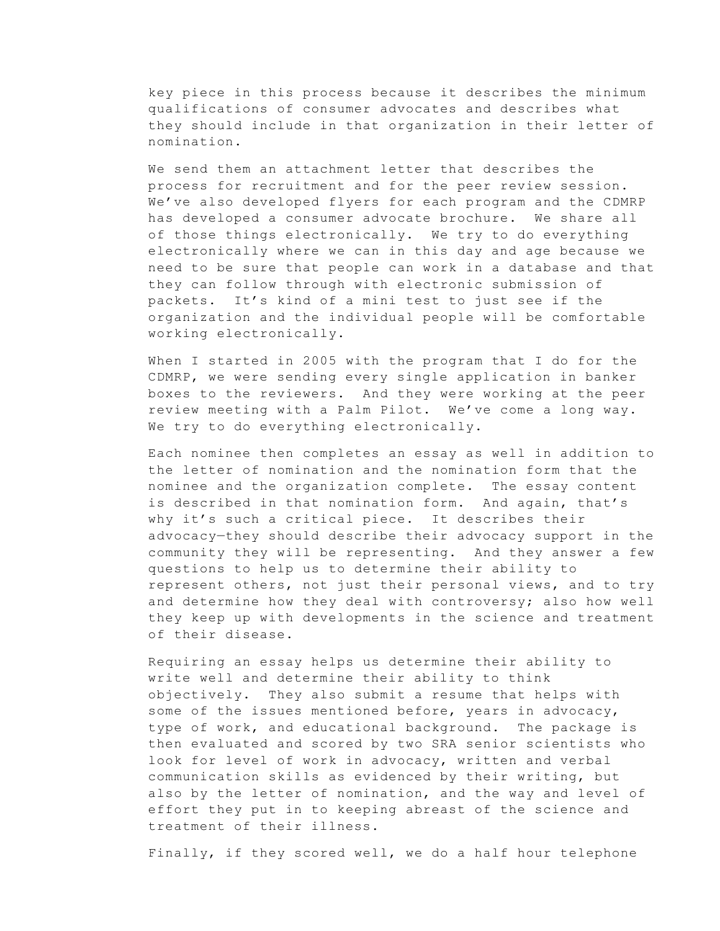key piece in this process because it describes the minimum qualifications of consumer advocates and describes what they should include in that organization in their letter of nomination.

We send them an attachment letter that describes the process for recruitment and for the peer review session. We've also developed flyers for each program and the CDMRP has developed a consumer advocate brochure. We share all of those things electronically. We try to do everything electronically where we can in this day and age because we need to be sure that people can work in a database and that they can follow through with electronic submission of packets. It's kind of a mini test to just see if the organization and the individual people will be comfortable working electronically.

When I started in 2005 with the program that I do for the CDMRP, we were sending every single application in banker boxes to the reviewers. And they were working at the peer review meeting with a Palm Pilot. We've come a long way. We try to do everything electronically.

Each nominee then completes an essay as well in addition to the letter of nomination and the nomination form that the nominee and the organization complete. The essay content is described in that nomination form. And again, that's why it's such a critical piece. It describes their advocacy—they should describe their advocacy support in the community they will be representing. And they answer a few questions to help us to determine their ability to represent others, not just their personal views, and to try and determine how they deal with controversy; also how well they keep up with developments in the science and treatment of their disease.

Requiring an essay helps us determine their ability to write well and determine their ability to think objectively. They also submit a resume that helps with some of the issues mentioned before, years in advocacy, type of work, and educational background. The package is then evaluated and scored by two SRA senior scientists who look for level of work in advocacy, written and verbal communication skills as evidenced by their writing, but also by the letter of nomination, and the way and level of effort they put in to keeping abreast of the science and treatment of their illness.

Finally, if they scored well, we do a half hour telephone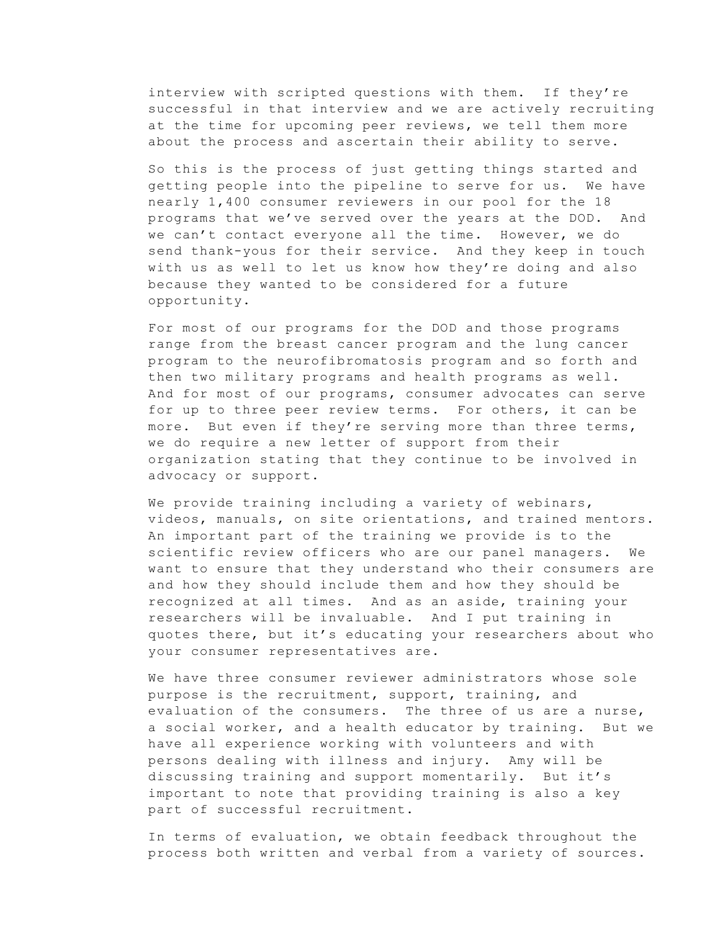interview with scripted questions with them. If they're successful in that interview and we are actively recruiting at the time for upcoming peer reviews, we tell them more about the process and ascertain their ability to serve.

So this is the process of just getting things started and getting people into the pipeline to serve for us. We have nearly 1,400 consumer reviewers in our pool for the 18 programs that we've served over the years at the DOD. And we can't contact everyone all the time. However, we do send thank-yous for their service. And they keep in touch with us as well to let us know how they're doing and also because they wanted to be considered for a future opportunity.

For most of our programs for the DOD and those programs range from the breast cancer program and the lung cancer program to the neurofibromatosis program and so forth and then two military programs and health programs as well. And for most of our programs, consumer advocates can serve for up to three peer review terms. For others, it can be more. But even if they're serving more than three terms, we do require a new letter of support from their organization stating that they continue to be involved in advocacy or support.

We provide training including a variety of webinars, videos, manuals, on site orientations, and trained mentors. An important part of the training we provide is to the scientific review officers who are our panel managers. We want to ensure that they understand who their consumers are and how they should include them and how they should be recognized at all times. And as an aside, training your researchers will be invaluable. And I put training in quotes there, but it's educating your researchers about who your consumer representatives are.

We have three consumer reviewer administrators whose sole purpose is the recruitment, support, training, and evaluation of the consumers. The three of us are a nurse, a social worker, and a health educator by training. But we have all experience working with volunteers and with persons dealing with illness and injury. Amy will be discussing training and support momentarily. But it's important to note that providing training is also a key part of successful recruitment.

In terms of evaluation, we obtain feedback throughout the process both written and verbal from a variety of sources.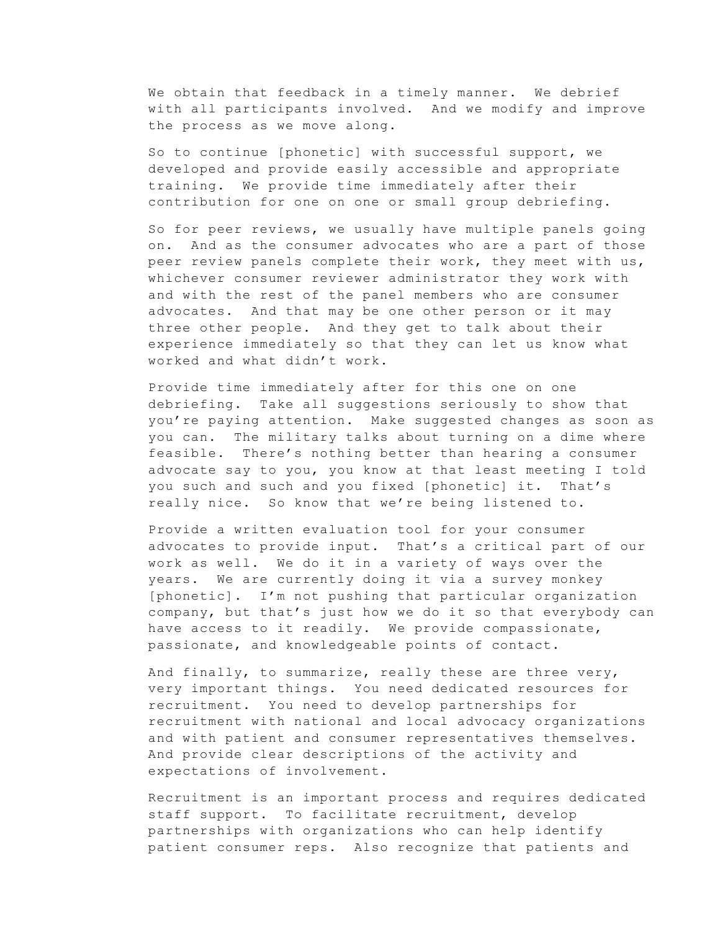We obtain that feedback in a timely manner. We debrief with all participants involved. And we modify and improve the process as we move along.

So to continue [phonetic] with successful support, we developed and provide easily accessible and appropriate training. We provide time immediately after their contribution for one on one or small group debriefing.

So for peer reviews, we usually have multiple panels going on. And as the consumer advocates who are a part of those peer review panels complete their work, they meet with us, whichever consumer reviewer administrator they work with and with the rest of the panel members who are consumer advocates. And that may be one other person or it may three other people. And they get to talk about their experience immediately so that they can let us know what worked and what didn't work.

Provide time immediately after for this one on one debriefing. Take all suggestions seriously to show that you're paying attention. Make suggested changes as soon as you can. The military talks about turning on a dime where feasible. There's nothing better than hearing a consumer advocate say to you, you know at that least meeting I told you such and such and you fixed [phonetic] it. That's really nice. So know that we're being listened to.

Provide a written evaluation tool for your consumer advocates to provide input. That's a critical part of our work as well. We do it in a variety of ways over the years. We are currently doing it via a survey monkey [phonetic]. I'm not pushing that particular organization company, but that's just how we do it so that everybody can have access to it readily. We provide compassionate, passionate, and knowledgeable points of contact.

And finally, to summarize, really these are three very, very important things. You need dedicated resources for recruitment. You need to develop partnerships for recruitment with national and local advocacy organizations and with patient and consumer representatives themselves. And provide clear descriptions of the activity and expectations of involvement.

Recruitment is an important process and requires dedicated staff support. To facilitate recruitment, develop partnerships with organizations who can help identify patient consumer reps. Also recognize that patients and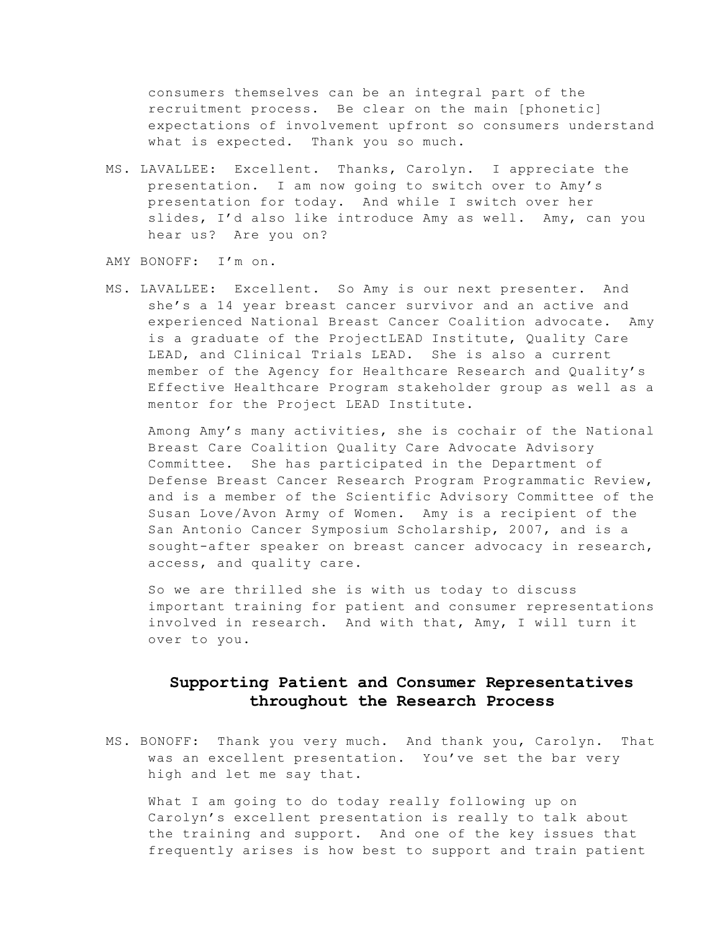consumers themselves can be an integral part of the recruitment process. Be clear on the main [phonetic] expectations of involvement upfront so consumers understand what is expected. Thank you so much.

MS. LAVALLEE: Excellent. Thanks, Carolyn. I appreciate the presentation. I am now going to switch over to Amy's presentation for today. And while I switch over her slides, I'd also like introduce Amy as well. Amy, can you hear us? Are you on?

AMY BONOFF: I'm on.

MS. LAVALLEE: Excellent. So Amy is our next presenter. And she's a 14 year breast cancer survivor and an active and experienced National Breast Cancer Coalition advocate. Amy is a graduate of the ProjectLEAD Institute, Quality Care LEAD, and Clinical Trials LEAD. She is also a current member of the Agency for Healthcare Research and Quality's Effective Healthcare Program stakeholder group as well as a mentor for the Project LEAD Institute.

Among Amy's many activities, she is cochair of the National Breast Care Coalition Quality Care Advocate Advisory Committee. She has participated in the Department of Defense Breast Cancer Research Program Programmatic Review, and is a member of the Scientific Advisory Committee of the Susan Love/Avon Army of Women. Amy is a recipient of the San Antonio Cancer Symposium Scholarship, 2007, and is a sought-after speaker on breast cancer advocacy in research, access, and quality care.

So we are thrilled she is with us today to discuss important training for patient and consumer representations involved in research. And with that, Amy, I will turn it over to you.

### **Supporting Patient and Consumer Representatives throughout the Research Process**

MS. BONOFF: Thank you very much. And thank you, Carolyn. That was an excellent presentation. You've set the bar very high and let me say that.

What I am going to do today really following up on Carolyn's excellent presentation is really to talk about the training and support. And one of the key issues that frequently arises is how best to support and train patient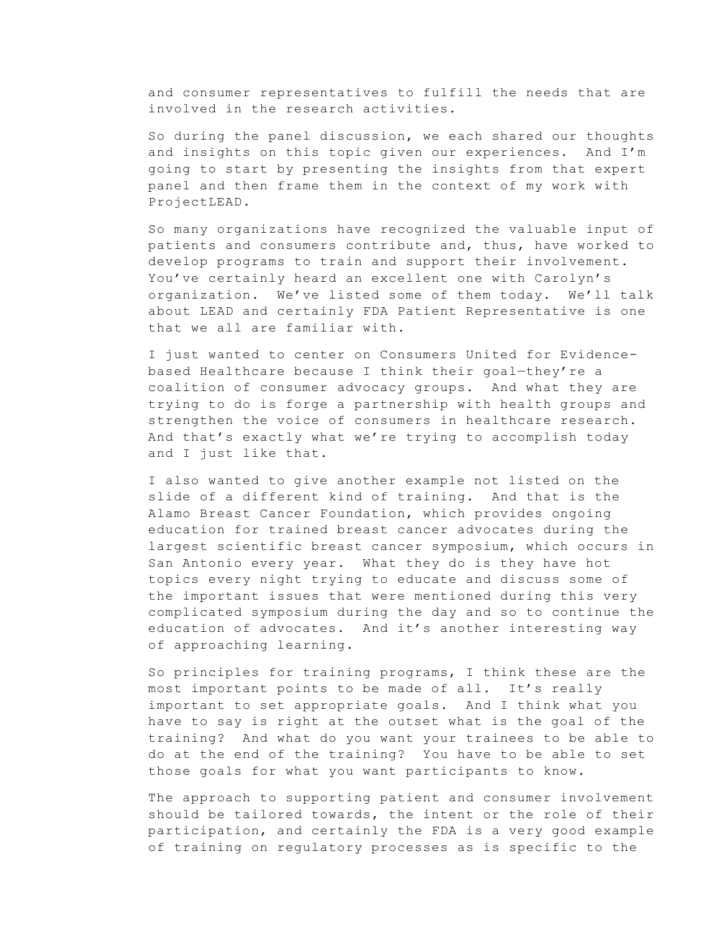and consumer representatives to fulfill the needs that are involved in the research activities.

So during the panel discussion, we each shared our thoughts and insights on this topic given our experiences. And I'm going to start by presenting the insights from that expert panel and then frame them in the context of my work with ProjectLEAD.

So many organizations have recognized the valuable input of patients and consumers contribute and, thus, have worked to develop programs to train and support their involvement. You've certainly heard an excellent one with Carolyn's organization. We've listed some of them today. We'll talk about LEAD and certainly FDA Patient Representative is one that we all are familiar with.

I just wanted to center on Consumers United for Evidencebased Healthcare because I think their goal—they're a coalition of consumer advocacy groups. And what they are trying to do is forge a partnership with health groups and strengthen the voice of consumers in healthcare research. And that's exactly what we're trying to accomplish today and I just like that.

I also wanted to give another example not listed on the slide of a different kind of training. And that is the Alamo Breast Cancer Foundation, which provides ongoing education for trained breast cancer advocates during the largest scientific breast cancer symposium, which occurs in San Antonio every year. What they do is they have hot topics every night trying to educate and discuss some of the important issues that were mentioned during this very complicated symposium during the day and so to continue the education of advocates. And it's another interesting way of approaching learning.

So principles for training programs, I think these are the most important points to be made of all. It's really important to set appropriate goals. And I think what you have to say is right at the outset what is the goal of the training? And what do you want your trainees to be able to do at the end of the training? You have to be able to set those goals for what you want participants to know.

The approach to supporting patient and consumer involvement should be tailored towards, the intent or the role of their participation, and certainly the FDA is a very good example of training on regulatory processes as is specific to the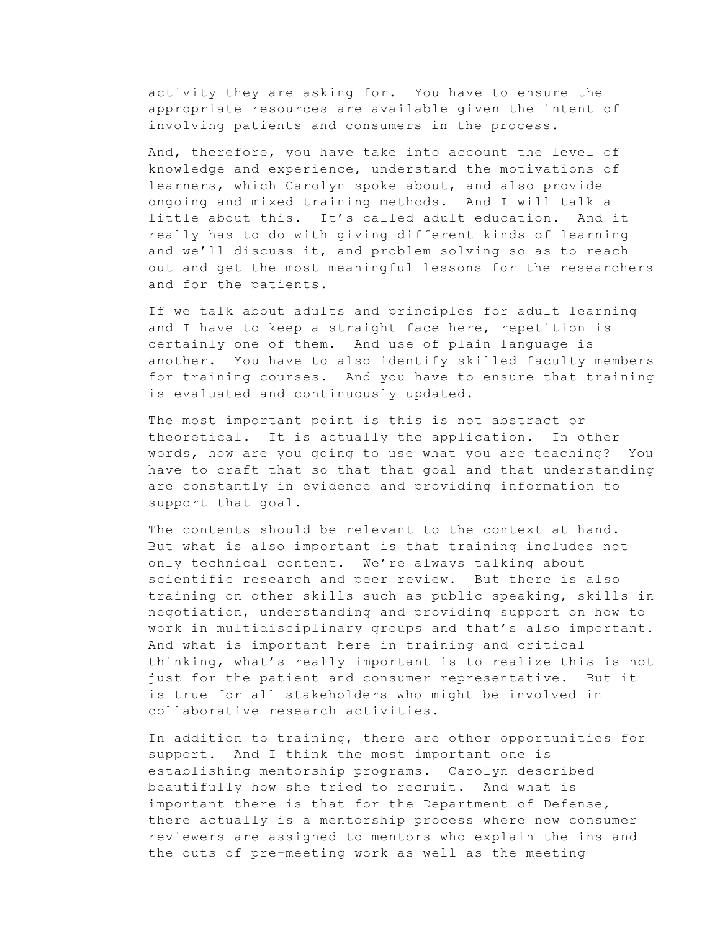activity they are asking for. You have to ensure the appropriate resources are available given the intent of involving patients and consumers in the process.

And, therefore, you have take into account the level of knowledge and experience, understand the motivations of learners, which Carolyn spoke about, and also provide ongoing and mixed training methods. And I will talk a little about this. It's called adult education. And it really has to do with giving different kinds of learning and we'll discuss it, and problem solving so as to reach out and get the most meaningful lessons for the researchers and for the patients.

If we talk about adults and principles for adult learning and I have to keep a straight face here, repetition is certainly one of them. And use of plain language is another. You have to also identify skilled faculty members for training courses. And you have to ensure that training is evaluated and continuously updated.

The most important point is this is not abstract or theoretical. It is actually the application. In other words, how are you going to use what you are teaching? You have to craft that so that that goal and that understanding are constantly in evidence and providing information to support that goal.

The contents should be relevant to the context at hand. But what is also important is that training includes not only technical content. We're always talking about scientific research and peer review. But there is also training on other skills such as public speaking, skills in negotiation, understanding and providing support on how to work in multidisciplinary groups and that's also important. And what is important here in training and critical thinking, what's really important is to realize this is not just for the patient and consumer representative. But it is true for all stakeholders who might be involved in collaborative research activities.

In addition to training, there are other opportunities for support. And I think the most important one is establishing mentorship programs. Carolyn described beautifully how she tried to recruit. And what is important there is that for the Department of Defense, there actually is a mentorship process where new consumer reviewers are assigned to mentors who explain the ins and the outs of pre-meeting work as well as the meeting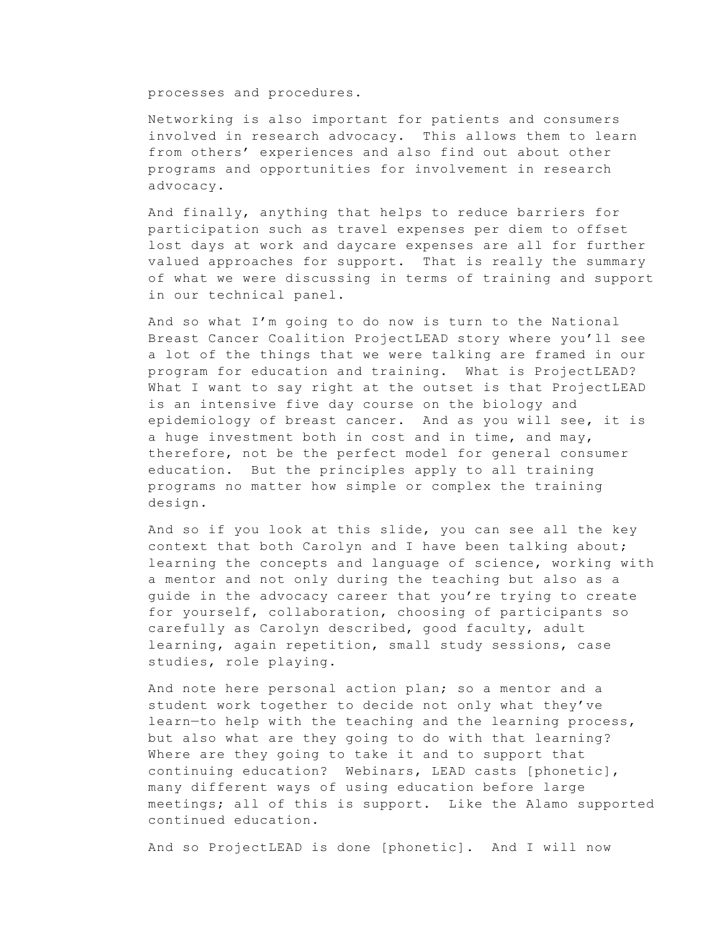processes and procedures.

Networking is also important for patients and consumers involved in research advocacy. This allows them to learn from others' experiences and also find out about other programs and opportunities for involvement in research advocacy.

And finally, anything that helps to reduce barriers for participation such as travel expenses per diem to offset lost days at work and daycare expenses are all for further valued approaches for support. That is really the summary of what we were discussing in terms of training and support in our technical panel.

And so what I'm going to do now is turn to the National Breast Cancer Coalition ProjectLEAD story where you'll see a lot of the things that we were talking are framed in our program for education and training. What is ProjectLEAD? What I want to say right at the outset is that ProjectLEAD is an intensive five day course on the biology and epidemiology of breast cancer. And as you will see, it is a huge investment both in cost and in time, and may, therefore, not be the perfect model for general consumer education. But the principles apply to all training programs no matter how simple or complex the training design.

And so if you look at this slide, you can see all the key context that both Carolyn and I have been talking about; learning the concepts and language of science, working with a mentor and not only during the teaching but also as a guide in the advocacy career that you're trying to create for yourself, collaboration, choosing of participants so carefully as Carolyn described, good faculty, adult learning, again repetition, small study sessions, case studies, role playing.

And note here personal action plan; so a mentor and a student work together to decide not only what they've learn—to help with the teaching and the learning process, but also what are they going to do with that learning? Where are they going to take it and to support that continuing education? Webinars, LEAD casts [phonetic], many different ways of using education before large meetings; all of this is support. Like the Alamo supported continued education.

And so ProjectLEAD is done [phonetic]. And I will now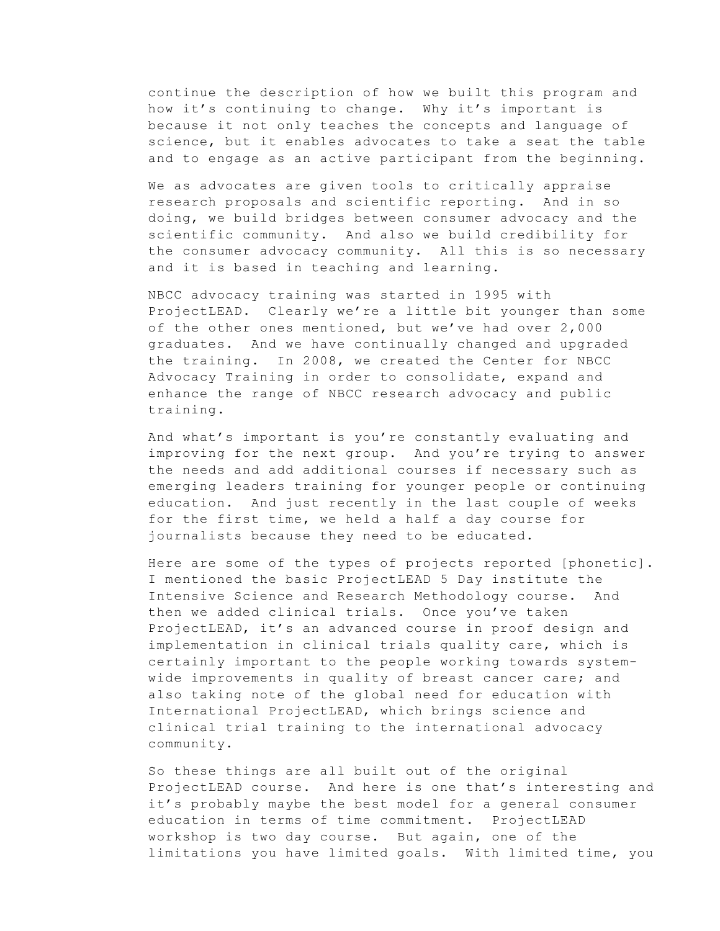continue the description of how we built this program and how it's continuing to change. Why it's important is because it not only teaches the concepts and language of science, but it enables advocates to take a seat the table and to engage as an active participant from the beginning.

We as advocates are given tools to critically appraise research proposals and scientific reporting. And in so doing, we build bridges between consumer advocacy and the scientific community. And also we build credibility for the consumer advocacy community. All this is so necessary and it is based in teaching and learning.

NBCC advocacy training was started in 1995 with ProjectLEAD. Clearly we're a little bit younger than some of the other ones mentioned, but we've had over 2,000 graduates. And we have continually changed and upgraded the training. In 2008, we created the Center for NBCC Advocacy Training in order to consolidate, expand and enhance the range of NBCC research advocacy and public training.

And what's important is you're constantly evaluating and improving for the next group. And you're trying to answer the needs and add additional courses if necessary such as emerging leaders training for younger people or continuing education. And just recently in the last couple of weeks for the first time, we held a half a day course for journalists because they need to be educated.

Here are some of the types of projects reported [phonetic]. I mentioned the basic ProjectLEAD 5 Day institute the Intensive Science and Research Methodology course. And then we added clinical trials. Once you've taken ProjectLEAD, it's an advanced course in proof design and implementation in clinical trials quality care, which is certainly important to the people working towards systemwide improvements in quality of breast cancer care; and also taking note of the global need for education with International ProjectLEAD, which brings science and clinical trial training to the international advocacy community.

So these things are all built out of the original ProjectLEAD course. And here is one that's interesting and it's probably maybe the best model for a general consumer education in terms of time commitment. ProjectLEAD workshop is two day course. But again, one of the limitations you have limited goals. With limited time, you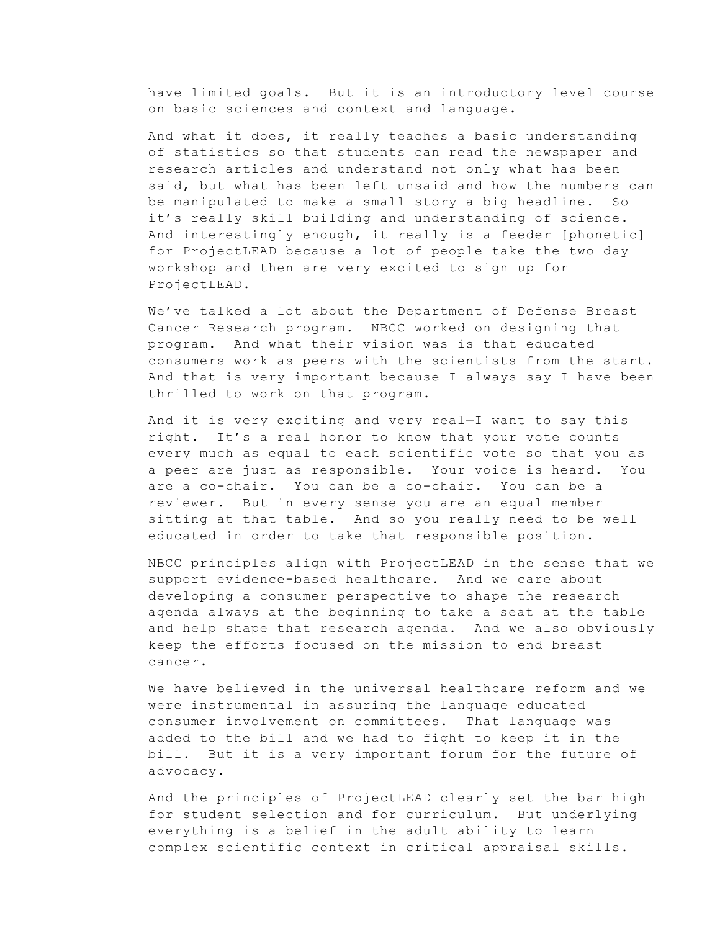have limited goals. But it is an introductory level course on basic sciences and context and language.

And what it does, it really teaches a basic understanding of statistics so that students can read the newspaper and research articles and understand not only what has been said, but what has been left unsaid and how the numbers can be manipulated to make a small story a big headline. So it's really skill building and understanding of science. And interestingly enough, it really is a feeder [phonetic] for ProjectLEAD because a lot of people take the two day workshop and then are very excited to sign up for ProjectLEAD.

We've talked a lot about the Department of Defense Breast Cancer Research program. NBCC worked on designing that program. And what their vision was is that educated consumers work as peers with the scientists from the start. And that is very important because I always say I have been thrilled to work on that program.

And it is very exciting and very real—I want to say this right. It's a real honor to know that your vote counts every much as equal to each scientific vote so that you as a peer are just as responsible. Your voice is heard. You are a co-chair. You can be a co-chair. You can be a reviewer. But in every sense you are an equal member sitting at that table. And so you really need to be well educated in order to take that responsible position.

NBCC principles align with ProjectLEAD in the sense that we support evidence-based healthcare. And we care about developing a consumer perspective to shape the research agenda always at the beginning to take a seat at the table and help shape that research agenda. And we also obviously keep the efforts focused on the mission to end breast cancer.

We have believed in the universal healthcare reform and we were instrumental in assuring the language educated consumer involvement on committees. That language was added to the bill and we had to fight to keep it in the bill. But it is a very important forum for the future of advocacy.

And the principles of ProjectLEAD clearly set the bar high for student selection and for curriculum. But underlying everything is a belief in the adult ability to learn complex scientific context in critical appraisal skills.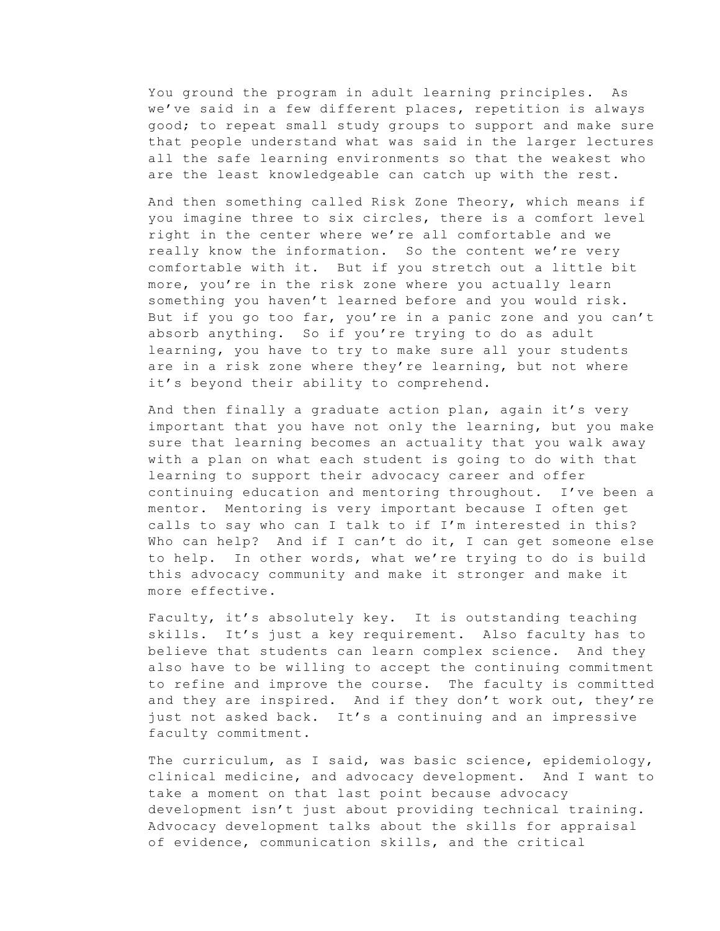You ground the program in adult learning principles. As we've said in a few different places, repetition is always good; to repeat small study groups to support and make sure that people understand what was said in the larger lectures all the safe learning environments so that the weakest who are the least knowledgeable can catch up with the rest.

And then something called Risk Zone Theory, which means if you imagine three to six circles, there is a comfort level right in the center where we're all comfortable and we really know the information. So the content we're very comfortable with it. But if you stretch out a little bit more, you're in the risk zone where you actually learn something you haven't learned before and you would risk. But if you go too far, you're in a panic zone and you can't absorb anything. So if you're trying to do as adult learning, you have to try to make sure all your students are in a risk zone where they're learning, but not where it's beyond their ability to comprehend.

And then finally a graduate action plan, again it's very important that you have not only the learning, but you make sure that learning becomes an actuality that you walk away with a plan on what each student is going to do with that learning to support their advocacy career and offer continuing education and mentoring throughout. I've been a mentor. Mentoring is very important because I often get calls to say who can I talk to if I'm interested in this? Who can help? And if I can't do it, I can get someone else to help. In other words, what we're trying to do is build this advocacy community and make it stronger and make it more effective.

Faculty, it's absolutely key. It is outstanding teaching skills. It's just a key requirement. Also faculty has to believe that students can learn complex science. And they also have to be willing to accept the continuing commitment to refine and improve the course. The faculty is committed and they are inspired. And if they don't work out, they're just not asked back. It's a continuing and an impressive faculty commitment.

The curriculum, as I said, was basic science, epidemiology, clinical medicine, and advocacy development. And I want to take a moment on that last point because advocacy development isn't just about providing technical training. Advocacy development talks about the skills for appraisal of evidence, communication skills, and the critical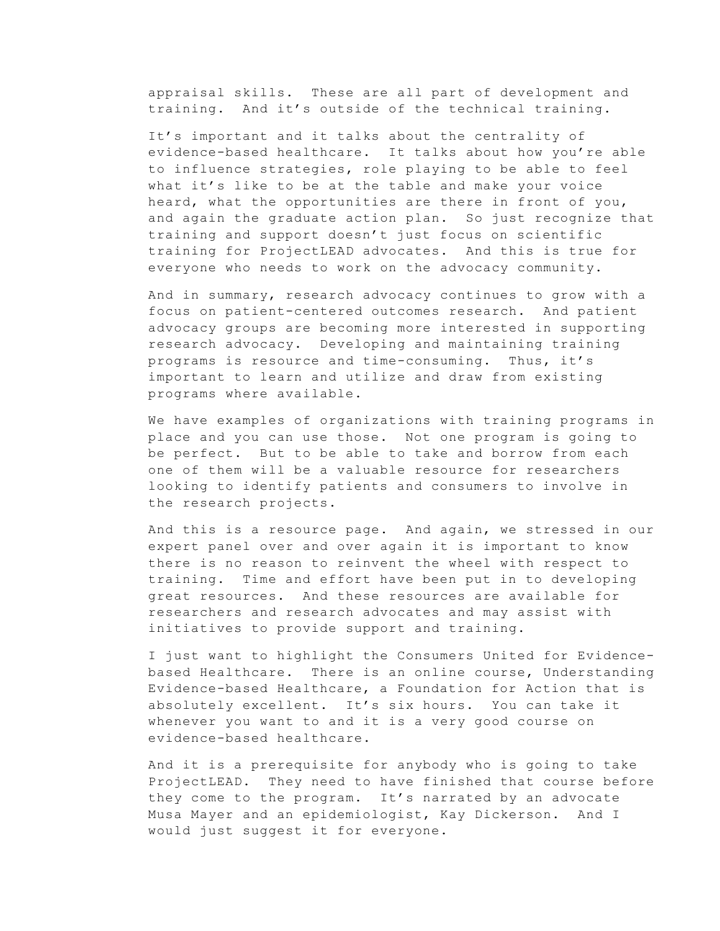appraisal skills. These are all part of development and training. And it's outside of the technical training.

It's important and it talks about the centrality of evidence-based healthcare. It talks about how you're able to influence strategies, role playing to be able to feel what it's like to be at the table and make your voice heard, what the opportunities are there in front of you, and again the graduate action plan. So just recognize that training and support doesn't just focus on scientific training for ProjectLEAD advocates. And this is true for everyone who needs to work on the advocacy community.

And in summary, research advocacy continues to grow with a focus on patient-centered outcomes research. And patient advocacy groups are becoming more interested in supporting research advocacy. Developing and maintaining training programs is resource and time-consuming. Thus, it's important to learn and utilize and draw from existing programs where available.

We have examples of organizations with training programs in place and you can use those. Not one program is going to be perfect. But to be able to take and borrow from each one of them will be a valuable resource for researchers looking to identify patients and consumers to involve in the research projects.

And this is a resource page. And again, we stressed in our expert panel over and over again it is important to know there is no reason to reinvent the wheel with respect to training. Time and effort have been put in to developing great resources. And these resources are available for researchers and research advocates and may assist with initiatives to provide support and training.

I just want to highlight the Consumers United for Evidencebased Healthcare. There is an online course, Understanding Evidence-based Healthcare, a Foundation for Action that is absolutely excellent. It's six hours. You can take it whenever you want to and it is a very good course on evidence-based healthcare.

And it is a prerequisite for anybody who is going to take ProjectLEAD. They need to have finished that course before they come to the program. It's narrated by an advocate Musa Mayer and an epidemiologist, Kay Dickerson. And I would just suggest it for everyone.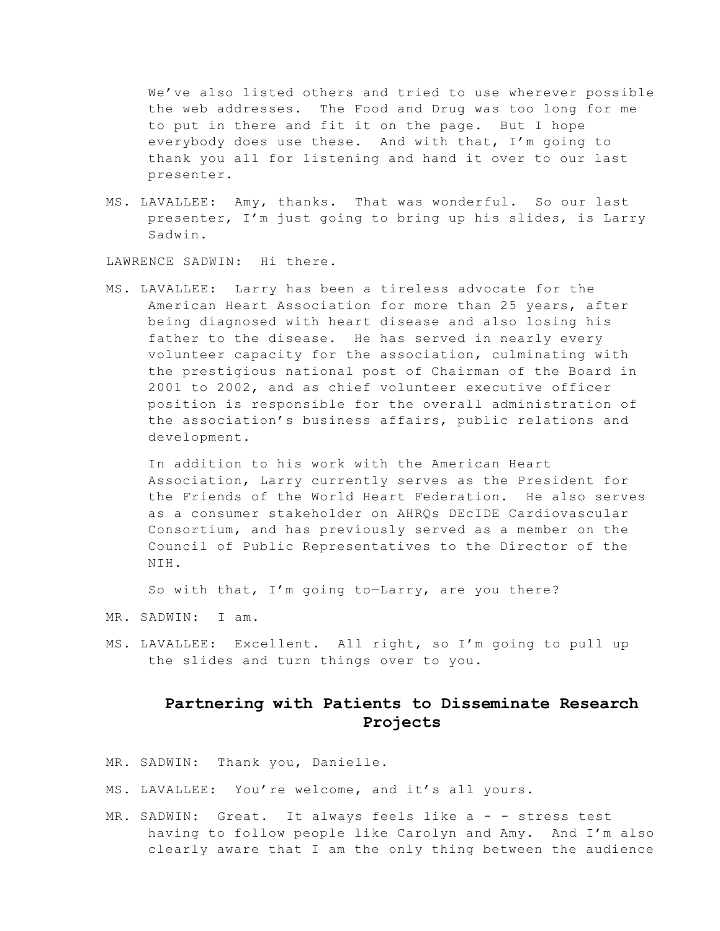We've also listed others and tried to use wherever possible the web addresses. The Food and Drug was too long for me to put in there and fit it on the page. But I hope everybody does use these. And with that, I'm going to thank you all for listening and hand it over to our last presenter.

MS. LAVALLEE: Amy, thanks. That was wonderful. So our last presenter, I'm just going to bring up his slides, is Larry Sadwin.

LAWRENCE SADWIN: Hi there.

MS. LAVALLEE: Larry has been a tireless advocate for the American Heart Association for more than 25 years, after being diagnosed with heart disease and also losing his father to the disease. He has served in nearly every volunteer capacity for the association, culminating with the prestigious national post of Chairman of the Board in 2001 to 2002, and as chief volunteer executive officer position is responsible for the overall administration of the association's business affairs, public relations and development.

In addition to his work with the American Heart Association, Larry currently serves as the President for the Friends of the World Heart Federation. He also serves as a consumer stakeholder on AHRQs DEcIDE Cardiovascular Consortium, and has previously served as a member on the Council of Public Representatives to the Director of the NIH.

So with that, I'm going to—Larry, are you there?

- MR. SADWIN: I am.
- MS. LAVALLEE: Excellent. All right, so I'm going to pull up the slides and turn things over to you.

### **Partnering with Patients to Disseminate Research Projects**

- MR. SADWIN: Thank you, Danielle.
- MS. LAVALLEE: You're welcome, and it's all yours.
- MR. SADWIN: Great. It always feels like a - stress test having to follow people like Carolyn and Amy. And I'm also clearly aware that I am the only thing between the audience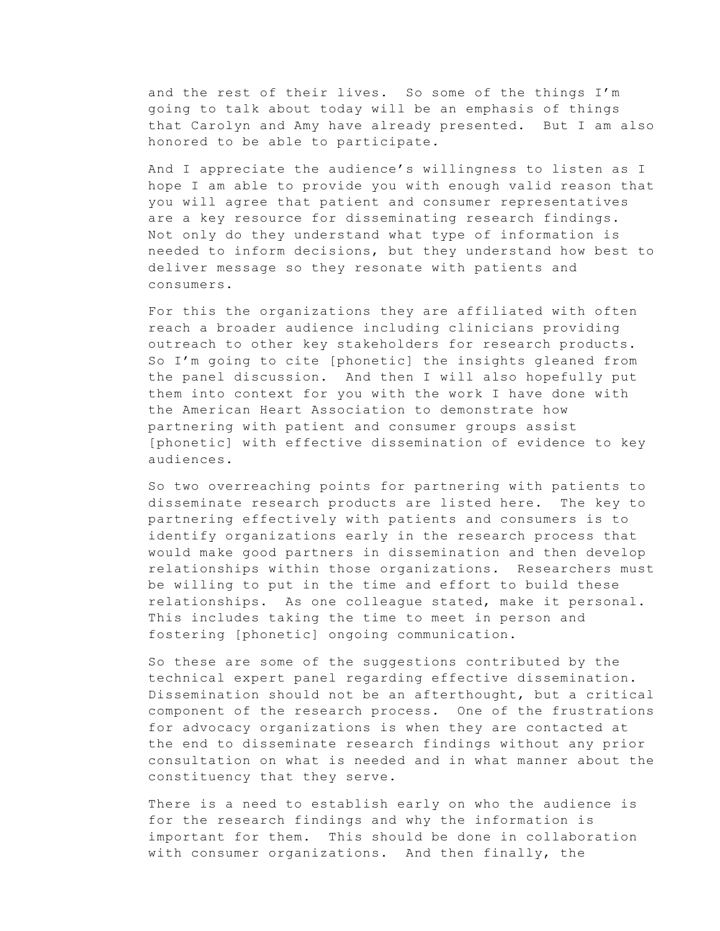and the rest of their lives. So some of the things I'm going to talk about today will be an emphasis of things that Carolyn and Amy have already presented. But I am also honored to be able to participate.

And I appreciate the audience's willingness to listen as I hope I am able to provide you with enough valid reason that you will agree that patient and consumer representatives are a key resource for disseminating research findings. Not only do they understand what type of information is needed to inform decisions, but they understand how best to deliver message so they resonate with patients and consumers.

For this the organizations they are affiliated with often reach a broader audience including clinicians providing outreach to other key stakeholders for research products. So I'm going to cite [phonetic] the insights gleaned from the panel discussion. And then I will also hopefully put them into context for you with the work I have done with the American Heart Association to demonstrate how partnering with patient and consumer groups assist [phonetic] with effective dissemination of evidence to key audiences.

So two overreaching points for partnering with patients to disseminate research products are listed here. The key to partnering effectively with patients and consumers is to identify organizations early in the research process that would make good partners in dissemination and then develop relationships within those organizations. Researchers must be willing to put in the time and effort to build these relationships. As one colleague stated, make it personal. This includes taking the time to meet in person and fostering [phonetic] ongoing communication.

So these are some of the suggestions contributed by the technical expert panel regarding effective dissemination. Dissemination should not be an afterthought, but a critical component of the research process. One of the frustrations for advocacy organizations is when they are contacted at the end to disseminate research findings without any prior consultation on what is needed and in what manner about the constituency that they serve.

There is a need to establish early on who the audience is for the research findings and why the information is important for them. This should be done in collaboration with consumer organizations. And then finally, the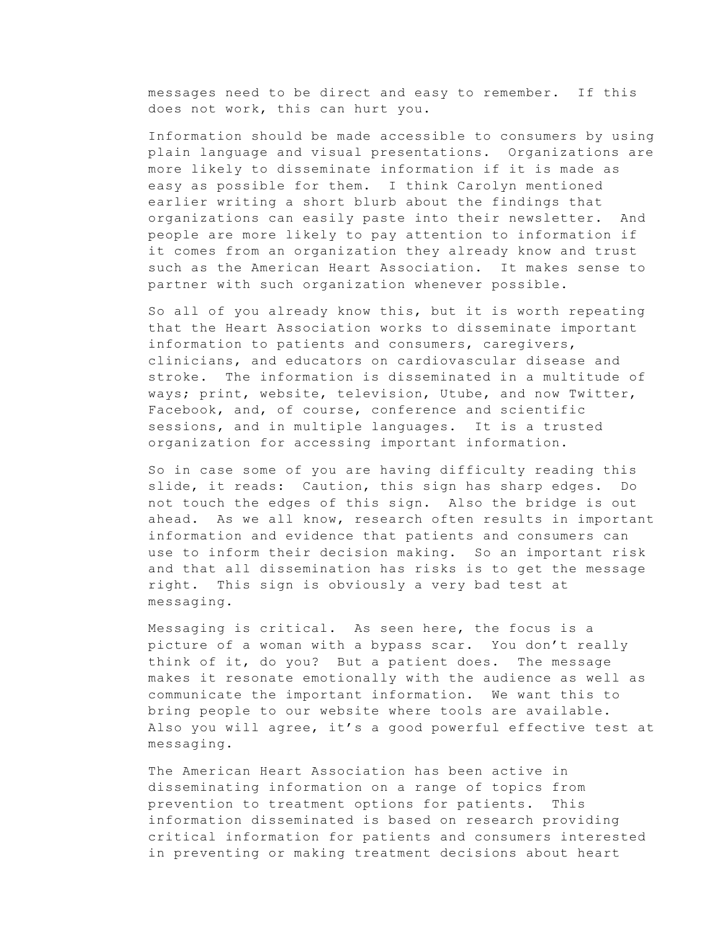messages need to be direct and easy to remember. If this does not work, this can hurt you.

Information should be made accessible to consumers by using plain language and visual presentations. Organizations are more likely to disseminate information if it is made as easy as possible for them. I think Carolyn mentioned earlier writing a short blurb about the findings that organizations can easily paste into their newsletter. And people are more likely to pay attention to information if it comes from an organization they already know and trust such as the American Heart Association. It makes sense to partner with such organization whenever possible.

So all of you already know this, but it is worth repeating that the Heart Association works to disseminate important information to patients and consumers, caregivers, clinicians, and educators on cardiovascular disease and stroke. The information is disseminated in a multitude of ways; print, website, television, Utube, and now Twitter, Facebook, and, of course, conference and scientific sessions, and in multiple languages. It is a trusted organization for accessing important information.

So in case some of you are having difficulty reading this slide, it reads: Caution, this sign has sharp edges. Do not touch the edges of this sign. Also the bridge is out ahead. As we all know, research often results in important information and evidence that patients and consumers can use to inform their decision making. So an important risk and that all dissemination has risks is to get the message right. This sign is obviously a very bad test at messaging.

Messaging is critical. As seen here, the focus is a picture of a woman with a bypass scar. You don't really think of it, do you? But a patient does. The message makes it resonate emotionally with the audience as well as communicate the important information. We want this to bring people to our website where tools are available. Also you will agree, it's a good powerful effective test at messaging.

The American Heart Association has been active in disseminating information on a range of topics from prevention to treatment options for patients. This information disseminated is based on research providing critical information for patients and consumers interested in preventing or making treatment decisions about heart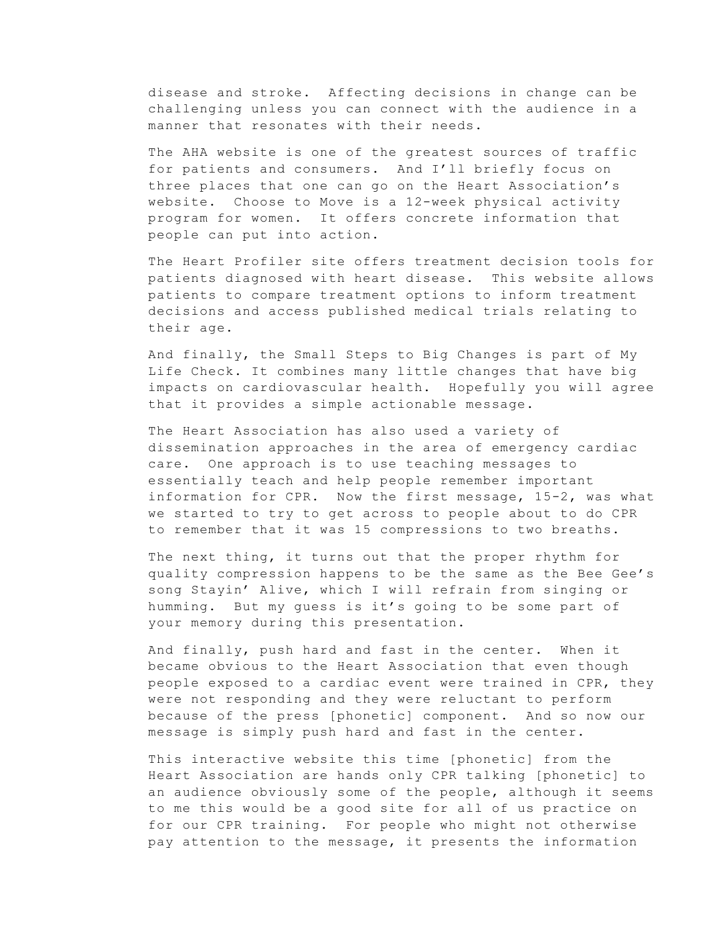disease and stroke. Affecting decisions in change can be challenging unless you can connect with the audience in a manner that resonates with their needs.

The AHA website is one of the greatest sources of traffic for patients and consumers. And I'll briefly focus on three places that one can go on the Heart Association's website. Choose to Move is a 12-week physical activity program for women. It offers concrete information that people can put into action.

The Heart Profiler site offers treatment decision tools for patients diagnosed with heart disease. This website allows patients to compare treatment options to inform treatment decisions and access published medical trials relating to their age.

And finally, the Small Steps to Big Changes is part of My Life Check. It combines many little changes that have big impacts on cardiovascular health. Hopefully you will agree that it provides a simple actionable message.

The Heart Association has also used a variety of dissemination approaches in the area of emergency cardiac care. One approach is to use teaching messages to essentially teach and help people remember important information for CPR. Now the first message, 15-2, was what we started to try to get across to people about to do CPR to remember that it was 15 compressions to two breaths.

The next thing, it turns out that the proper rhythm for quality compression happens to be the same as the Bee Gee's song Stayin' Alive, which I will refrain from singing or humming. But my guess is it's going to be some part of your memory during this presentation.

And finally, push hard and fast in the center. When it became obvious to the Heart Association that even though people exposed to a cardiac event were trained in CPR, they were not responding and they were reluctant to perform because of the press [phonetic] component. And so now our message is simply push hard and fast in the center.

This interactive website this time [phonetic] from the Heart Association are hands only CPR talking [phonetic] to an audience obviously some of the people, although it seems to me this would be a good site for all of us practice on for our CPR training. For people who might not otherwise pay attention to the message, it presents the information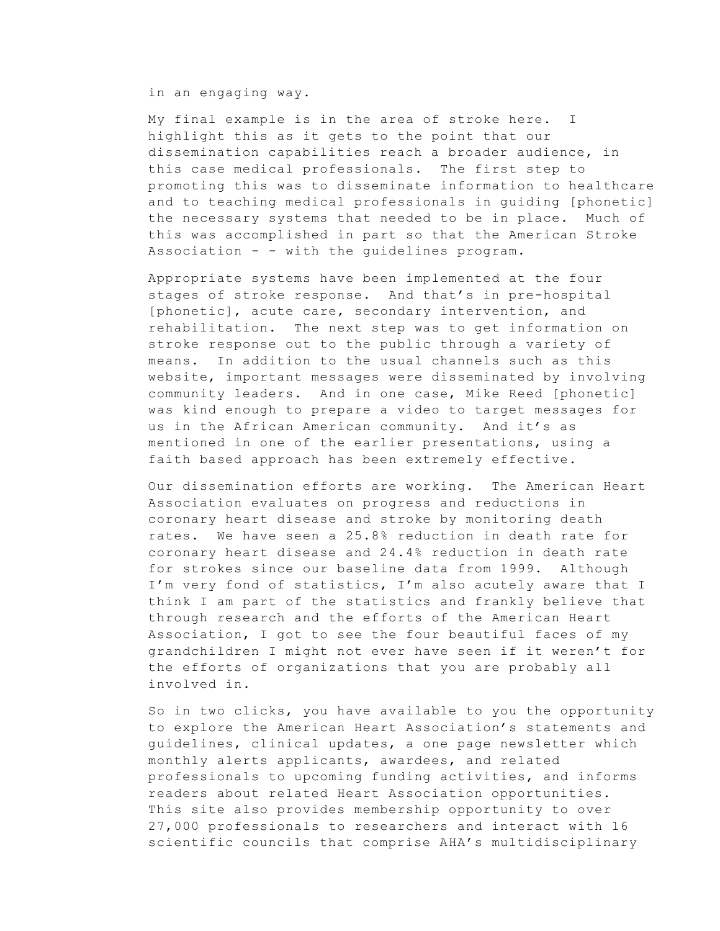in an engaging way.

My final example is in the area of stroke here. I highlight this as it gets to the point that our dissemination capabilities reach a broader audience, in this case medical professionals. The first step to promoting this was to disseminate information to healthcare and to teaching medical professionals in guiding [phonetic] the necessary systems that needed to be in place. Much of this was accomplished in part so that the American Stroke Association - - with the guidelines program.

Appropriate systems have been implemented at the four stages of stroke response. And that's in pre-hospital [phonetic], acute care, secondary intervention, and rehabilitation. The next step was to get information on stroke response out to the public through a variety of means. In addition to the usual channels such as this website, important messages were disseminated by involving community leaders. And in one case, Mike Reed [phonetic] was kind enough to prepare a video to target messages for us in the African American community. And it's as mentioned in one of the earlier presentations, using a faith based approach has been extremely effective.

Our dissemination efforts are working. The American Heart Association evaluates on progress and reductions in coronary heart disease and stroke by monitoring death rates. We have seen a 25.8% reduction in death rate for coronary heart disease and 24.4% reduction in death rate for strokes since our baseline data from 1999. Although I'm very fond of statistics, I'm also acutely aware that I think I am part of the statistics and frankly believe that through research and the efforts of the American Heart Association, I got to see the four beautiful faces of my grandchildren I might not ever have seen if it weren't for the efforts of organizations that you are probably all involved in.

So in two clicks, you have available to you the opportunity to explore the American Heart Association's statements and guidelines, clinical updates, a one page newsletter which monthly alerts applicants, awardees, and related professionals to upcoming funding activities, and informs readers about related Heart Association opportunities. This site also provides membership opportunity to over 27,000 professionals to researchers and interact with 16 scientific councils that comprise AHA's multidisciplinary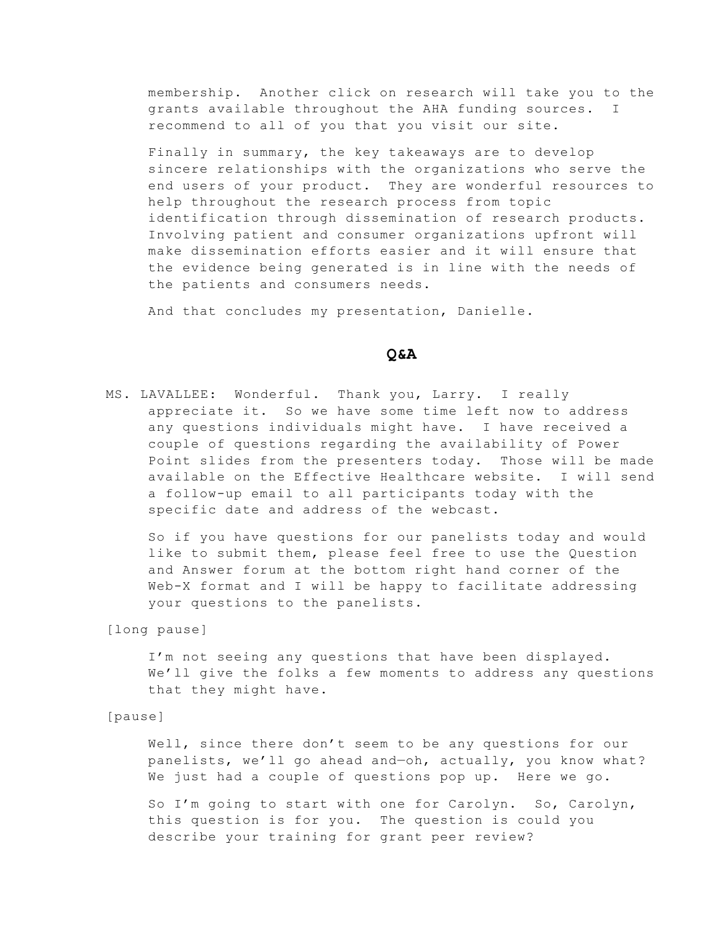membership. Another click on research will take you to the grants available throughout the AHA funding sources. I recommend to all of you that you visit our site.

Finally in summary, the key takeaways are to develop sincere relationships with the organizations who serve the end users of your product. They are wonderful resources to help throughout the research process from topic identification through dissemination of research products. Involving patient and consumer organizations upfront will make dissemination efforts easier and it will ensure that the evidence being generated is in line with the needs of the patients and consumers needs.

And that concludes my presentation, Danielle.

#### **Q&A**

MS. LAVALLEE: Wonderful. Thank you, Larry. I really appreciate it. So we have some time left now to address any questions individuals might have. I have received a couple of questions regarding the availability of Power Point slides from the presenters today. Those will be made available on the Effective Healthcare website. I will send a follow-up email to all participants today with the specific date and address of the webcast.

So if you have questions for our panelists today and would like to submit them, please feel free to use the Question and Answer forum at the bottom right hand corner of the Web-X format and I will be happy to facilitate addressing your questions to the panelists.

[long pause]

I'm not seeing any questions that have been displayed. We'll give the folks a few moments to address any questions that they might have.

[pause]

Well, since there don't seem to be any questions for our panelists, we'll go ahead and—oh, actually, you know what? We just had a couple of questions pop up. Here we go.

So I'm going to start with one for Carolyn. So, Carolyn, this question is for you. The question is could you describe your training for grant peer review?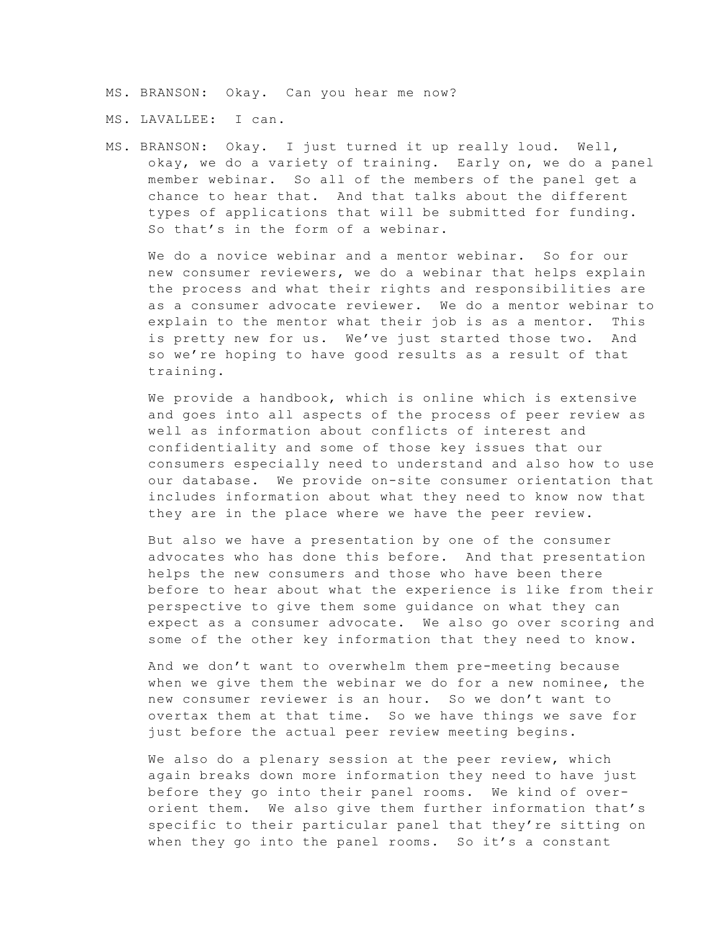MS. BRANSON: Okay. Can you hear me now?

MS. LAVALLEE: I can.

MS. BRANSON: Okay. I just turned it up really loud. Well, okay, we do a variety of training. Early on, we do a panel member webinar. So all of the members of the panel get a chance to hear that. And that talks about the different types of applications that will be submitted for funding. So that's in the form of a webinar.

We do a novice webinar and a mentor webinar. So for our new consumer reviewers, we do a webinar that helps explain the process and what their rights and responsibilities are as a consumer advocate reviewer. We do a mentor webinar to explain to the mentor what their job is as a mentor. This is pretty new for us. We've just started those two. And so we're hoping to have good results as a result of that training.

We provide a handbook, which is online which is extensive and goes into all aspects of the process of peer review as well as information about conflicts of interest and confidentiality and some of those key issues that our consumers especially need to understand and also how to use our database. We provide on-site consumer orientation that includes information about what they need to know now that they are in the place where we have the peer review.

But also we have a presentation by one of the consumer advocates who has done this before. And that presentation helps the new consumers and those who have been there before to hear about what the experience is like from their perspective to give them some guidance on what they can expect as a consumer advocate. We also go over scoring and some of the other key information that they need to know.

And we don't want to overwhelm them pre-meeting because when we give them the webinar we do for a new nominee, the new consumer reviewer is an hour. So we don't want to overtax them at that time. So we have things we save for just before the actual peer review meeting begins.

We also do a plenary session at the peer review, which again breaks down more information they need to have just before they go into their panel rooms. We kind of overorient them. We also give them further information that's specific to their particular panel that they're sitting on when they go into the panel rooms. So it's a constant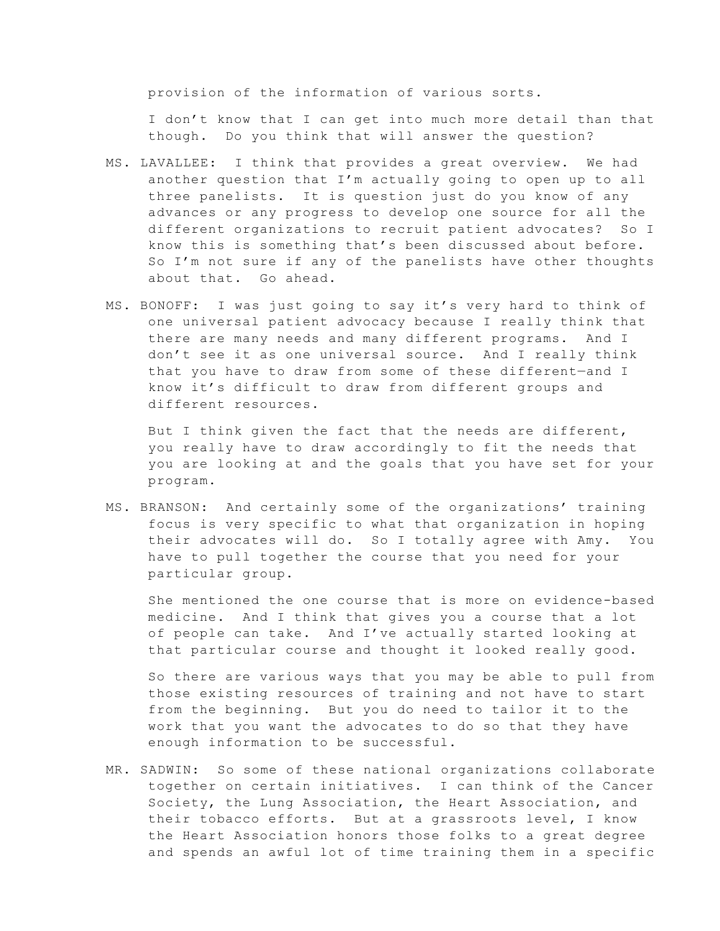provision of the information of various sorts.

I don't know that I can get into much more detail than that though. Do you think that will answer the question?

- MS. LAVALLEE: I think that provides a great overview. We had another question that I'm actually going to open up to all three panelists. It is question just do you know of any advances or any progress to develop one source for all the different organizations to recruit patient advocates? So I know this is something that's been discussed about before. So I'm not sure if any of the panelists have other thoughts about that. Go ahead.
- MS. BONOFF: I was just going to say it's very hard to think of one universal patient advocacy because I really think that there are many needs and many different programs. And I don't see it as one universal source. And I really think that you have to draw from some of these different—and I know it's difficult to draw from different groups and different resources.

But I think given the fact that the needs are different, you really have to draw accordingly to fit the needs that you are looking at and the goals that you have set for your program.

MS. BRANSON: And certainly some of the organizations' training focus is very specific to what that organization in hoping their advocates will do. So I totally agree with Amy. You have to pull together the course that you need for your particular group.

She mentioned the one course that is more on evidence-based medicine. And I think that gives you a course that a lot of people can take. And I've actually started looking at that particular course and thought it looked really good.

So there are various ways that you may be able to pull from those existing resources of training and not have to start from the beginning. But you do need to tailor it to the work that you want the advocates to do so that they have enough information to be successful.

MR. SADWIN: So some of these national organizations collaborate together on certain initiatives. I can think of the Cancer Society, the Lung Association, the Heart Association, and their tobacco efforts. But at a grassroots level, I know the Heart Association honors those folks to a great degree and spends an awful lot of time training them in a specific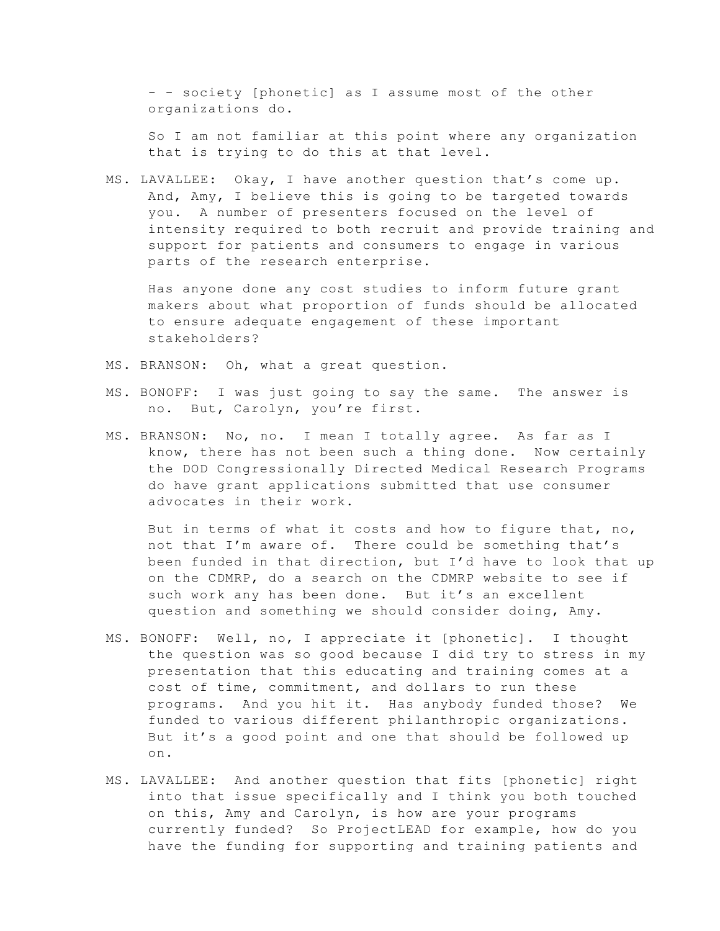- - society [phonetic] as I assume most of the other organizations do.

So I am not familiar at this point where any organization that is trying to do this at that level.

MS. LAVALLEE: Okay, I have another question that's come up. And, Amy, I believe this is going to be targeted towards you. A number of presenters focused on the level of intensity required to both recruit and provide training and support for patients and consumers to engage in various parts of the research enterprise.

Has anyone done any cost studies to inform future grant makers about what proportion of funds should be allocated to ensure adequate engagement of these important stakeholders?

- MS. BRANSON: Oh, what a great question.
- MS. BONOFF: I was just going to say the same. The answer is no. But, Carolyn, you're first.
- MS. BRANSON: No, no. I mean I totally agree. As far as I know, there has not been such a thing done. Now certainly the DOD Congressionally Directed Medical Research Programs do have grant applications submitted that use consumer advocates in their work.

But in terms of what it costs and how to figure that, no, not that I'm aware of. There could be something that's been funded in that direction, but I'd have to look that up on the CDMRP, do a search on the CDMRP website to see if such work any has been done. But it's an excellent question and something we should consider doing, Amy.

- MS. BONOFF: Well, no, I appreciate it [phonetic]. I thought the question was so good because I did try to stress in my presentation that this educating and training comes at a cost of time, commitment, and dollars to run these programs. And you hit it. Has anybody funded those? We funded to various different philanthropic organizations. But it's a good point and one that should be followed up on.
- MS. LAVALLEE: And another question that fits [phonetic] right into that issue specifically and I think you both touched on this, Amy and Carolyn, is how are your programs currently funded? So ProjectLEAD for example, how do you have the funding for supporting and training patients and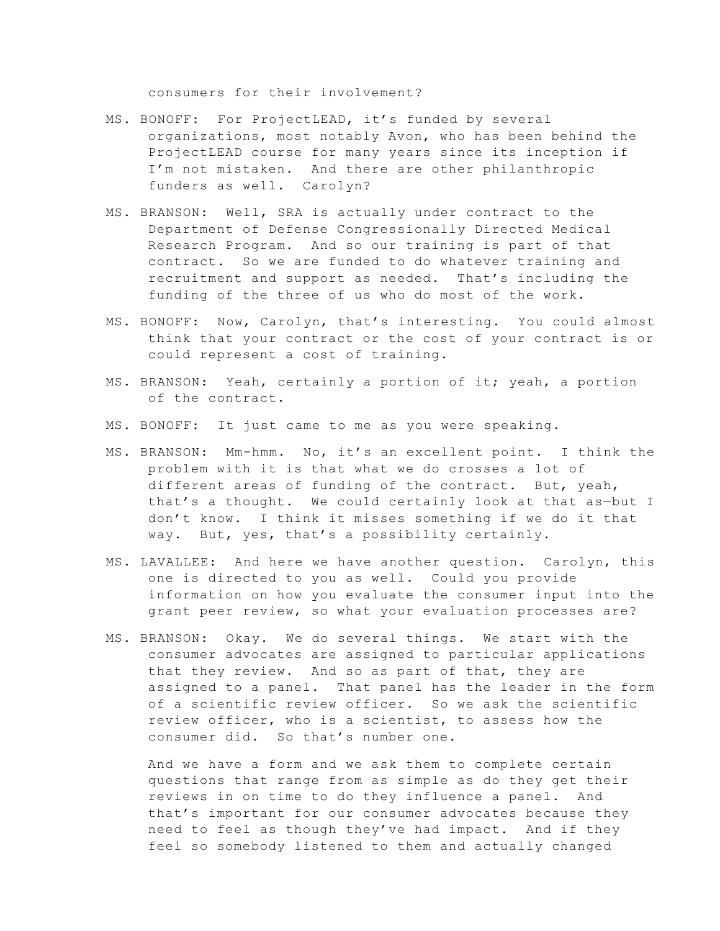consumers for their involvement?

- MS. BONOFF: For ProjectLEAD, it's funded by several organizations, most notably Avon, who has been behind the ProjectLEAD course for many years since its inception if I'm not mistaken. And there are other philanthropic funders as well. Carolyn?
- MS. BRANSON: Well, SRA is actually under contract to the Department of Defense Congressionally Directed Medical Research Program. And so our training is part of that contract. So we are funded to do whatever training and recruitment and support as needed. That's including the funding of the three of us who do most of the work.
- MS. BONOFF: Now, Carolyn, that's interesting. You could almost think that your contract or the cost of your contract is or could represent a cost of training.
- MS. BRANSON: Yeah, certainly a portion of it; yeah, a portion of the contract.
- MS. BONOFF: It just came to me as you were speaking.
- MS. BRANSON: Mm-hmm. No, it's an excellent point. I think the problem with it is that what we do crosses a lot of different areas of funding of the contract. But, yeah, that's a thought. We could certainly look at that as—but I don't know. I think it misses something if we do it that way. But, yes, that's a possibility certainly.
- MS. LAVALLEE: And here we have another question. Carolyn, this one is directed to you as well. Could you provide information on how you evaluate the consumer input into the grant peer review, so what your evaluation processes are?
- MS. BRANSON: Okay. We do several things. We start with the consumer advocates are assigned to particular applications that they review. And so as part of that, they are assigned to a panel. That panel has the leader in the form of a scientific review officer. So we ask the scientific review officer, who is a scientist, to assess how the consumer did. So that's number one.

And we have a form and we ask them to complete certain questions that range from as simple as do they get their reviews in on time to do they influence a panel. And that's important for our consumer advocates because they need to feel as though they've had impact. And if they feel so somebody listened to them and actually changed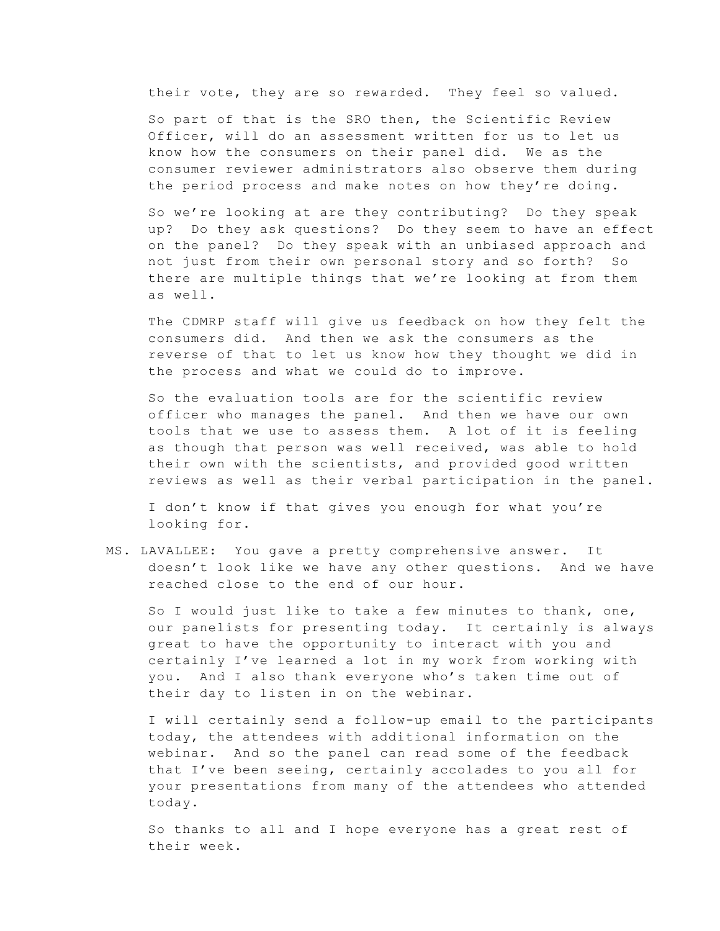their vote, they are so rewarded. They feel so valued.

So part of that is the SRO then, the Scientific Review Officer, will do an assessment written for us to let us know how the consumers on their panel did. We as the consumer reviewer administrators also observe them during the period process and make notes on how they're doing.

So we're looking at are they contributing? Do they speak up? Do they ask questions? Do they seem to have an effect on the panel? Do they speak with an unbiased approach and not just from their own personal story and so forth? So there are multiple things that we're looking at from them as well.

The CDMRP staff will give us feedback on how they felt the consumers did. And then we ask the consumers as the reverse of that to let us know how they thought we did in the process and what we could do to improve.

So the evaluation tools are for the scientific review officer who manages the panel. And then we have our own tools that we use to assess them. A lot of it is feeling as though that person was well received, was able to hold their own with the scientists, and provided good written reviews as well as their verbal participation in the panel.

I don't know if that gives you enough for what you're looking for.

MS. LAVALLEE: You gave a pretty comprehensive answer. It doesn't look like we have any other questions. And we have reached close to the end of our hour.

So I would just like to take a few minutes to thank, one, our panelists for presenting today. It certainly is always great to have the opportunity to interact with you and certainly I've learned a lot in my work from working with you. And I also thank everyone who's taken time out of their day to listen in on the webinar.

I will certainly send a follow-up email to the participants today, the attendees with additional information on the webinar. And so the panel can read some of the feedback that I've been seeing, certainly accolades to you all for your presentations from many of the attendees who attended today.

So thanks to all and I hope everyone has a great rest of their week.